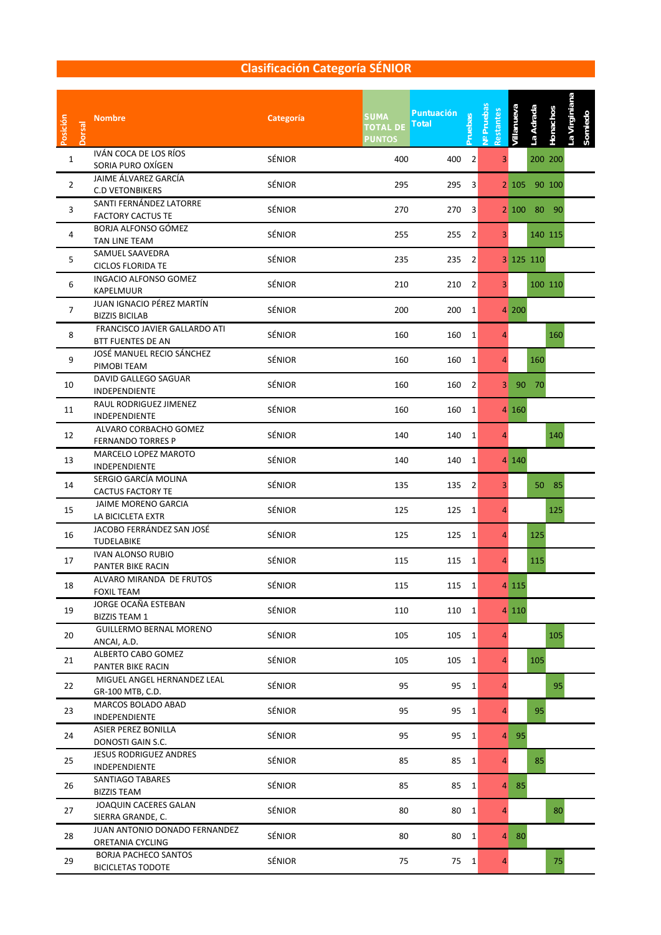#### **Clasificación Categoría SÉNIOR**

| Posición<br><b>Dorsal</b> | <b>Nombre</b>                                             | Categoría     | <b>SUMA</b><br><b>TOTAL DE</b><br><b>PUNTOS</b> | <b>Puntuación</b><br>Pruebas<br><b>Total</b> | V <sup>o</sup> Pruebas<br>Restantes | Villanueva     | La Adrada | Honachos | La Virginiana |
|---------------------------|-----------------------------------------------------------|---------------|-------------------------------------------------|----------------------------------------------|-------------------------------------|----------------|-----------|----------|---------------|
| 1                         | IVÁN COCA DE LOS RÍOS<br>SORIA PURO OXÍGEN                | <b>SÉNIOR</b> | 400                                             | 400                                          | $\overline{2}$                      | 3              |           | 200 200  |               |
| $\overline{2}$            | JAIME ÁLVAREZ GARCÍA<br><b>C.D VETONBIKERS</b>            | SÉNIOR        | 295                                             | 295                                          | 3                                   | 2 105          |           | 90 100   |               |
| 3                         | SANTI FERNÁNDEZ LATORRE<br><b>FACTORY CACTUS TE</b>       | SÉNIOR        | 270                                             | 270                                          | 3                                   | $2 \ 100$      | 80        | - 90     |               |
| 4                         | BORJA ALFONSO GÓMEZ<br>TAN LINE TEAM                      | SÉNIOR        | 255                                             | 255                                          | $\overline{2}$                      | 3 <sup>1</sup> |           | 140 115  |               |
| 5                         | SAMUEL SAAVEDRA<br><b>CICLOS FLORIDA TE</b>               | SÉNIOR        | 235                                             | 235                                          | $\overline{2}$                      |                | 3 125 110 |          |               |
| 6                         | INGACIO ALFONSO GOMEZ<br><b>KAPELMUUR</b>                 | SÉNIOR        | 210                                             | 210                                          | 2                                   | 3              |           | 100 110  |               |
| $\overline{7}$            | JUAN IGNACIO PÉREZ MARTÍN<br><b>BIZZIS BICILAB</b>        | SÉNIOR        | 200                                             | 200                                          | 1                                   | 4 200          |           |          |               |
| 8                         | FRANCISCO JAVIER GALLARDO ATI<br><b>BTT FUENTES DE AN</b> | SÉNIOR        | 160                                             | 160                                          | 1                                   | $\overline{4}$ |           | 160      |               |
| 9                         | JOSÉ MANUEL RECIO SÁNCHEZ<br>PIMOBI TEAM                  | SÉNIOR        | 160                                             | 160                                          | $\mathbf{1}$                        | 4              | 160       |          |               |
| 10                        | DAVID GALLEGO SAGUAR<br><b>INDEPENDIENTE</b>              | SÉNIOR        | 160                                             | 160                                          | 2                                   | 3<br>90        | 70        |          |               |
| 11                        | RAUL RODRIGUEZ JIMENEZ<br>INDEPENDIENTE                   | SÉNIOR        | 160                                             | 160                                          | 1                                   | 4 160          |           |          |               |
| 12                        | ALVARO CORBACHO GOMEZ<br><b>FERNANDO TORRES P</b>         | SÉNIOR        | 140                                             | 140                                          | 1                                   | 4              |           | 140      |               |
| 13                        | MARCELO LOPEZ MAROTO<br>INDEPENDIENTE                     | SÉNIOR        | 140                                             | 140                                          | 1                                   | 4 140          |           |          |               |
| 14                        | SERGIO GARCÍA MOLINA<br><b>CACTUS FACTORY TE</b>          | SÉNIOR        | 135                                             | 135                                          | $\overline{2}$                      | 3              | 50        | 85       |               |
| 15                        | <b>JAIME MORENO GARCIA</b><br>LA BICICLETA EXTR           | SÉNIOR        | 125                                             | 125                                          | 1                                   | 4              |           | 125      |               |
| 16                        | JACOBO FERRÁNDEZ SAN JOSÉ<br>TUDELABIKE                   | SÉNIOR        | 125                                             | 125                                          | 1                                   | 4              | 125       |          |               |
| 17                        | <b>IVAN ALONSO RUBIO</b><br>PANTER BIKE RACIN             | SÉNIOR        | 115                                             | 115                                          | 1                                   | 4              | 115       |          |               |
| 18                        | ALVARO MIRANDA DE FRUTOS<br><b>FOXIL TEAM</b>             | SÉNIOR        | 115                                             | 115                                          | $\mathbf{1}$                        | 4 1 1 5        |           |          |               |
| 19                        | <b>JORGE OCAÑA ESTEBAN</b><br><b>BIZZIS TEAM 1</b>        | SÉNIOR        | 110                                             | 110                                          | $\mathbf{1}$                        | 4 1 1 0        |           |          |               |
| 20                        | <b>GUILLERMO BERNAL MORENO</b><br>ANCAI, A.D.             | SÉNIOR        | 105                                             | 105                                          | 1                                   | $\overline{4}$ |           | 105      |               |
| 21                        | ALBERTO CABO GOMEZ<br>PANTER BIKE RACIN                   | SÉNIOR        | 105                                             | 105                                          | $\mathbf{1}$                        | $\overline{4}$ | 105       |          |               |
| 22                        | MIGUEL ANGEL HERNANDEZ LEAL<br>GR-100 MTB, C.D.           | SÉNIOR        | 95                                              | 95                                           | $\mathbf{1}$                        | 4              |           | 95       |               |
| 23                        | <b>MARCOS BOLADO ABAD</b><br>INDEPENDIENTE                | SÉNIOR        | 95                                              | 95                                           | $\mathbf{1}$                        | 4              | 95        |          |               |
| 24                        | ASIER PEREZ BONILLA<br>DONOSTI GAIN S.C.                  | SÉNIOR        | 95                                              | 95                                           | $\mathbf{1}$                        | 4 95           |           |          |               |
| 25                        | <b>JESUS RODRIGUEZ ANDRES</b><br>INDEPENDIENTE            | SÉNIOR        | 85                                              | 85                                           | $\mathbf{1}$                        | 4              | 85        |          |               |
| 26                        | SANTIAGO TABARES<br><b>BIZZIS TEAM</b>                    | SÉNIOR        | 85                                              | 85                                           | $\mathbf{1}$                        | $4$ 85         |           |          |               |
| 27                        | JOAQUIN CACERES GALAN<br>SIERRA GRANDE, C.                | SÉNIOR        | 80                                              | 80                                           | $\mathbf{1}$                        | 4              |           | 80       |               |
| 28                        | JUAN ANTONIO DONADO FERNANDEZ<br>ORETANIA CYCLING         | SÉNIOR        | 80                                              | 80                                           | $\mathbf{1}$                        | 4 80           |           |          |               |
| 29                        | <b>BORJA PACHECO SANTOS</b><br><b>BICICLETAS TODOTE</b>   | SÉNIOR        | 75                                              | 75                                           | $\mathbf{1}$                        | $\overline{4}$ |           | 75       |               |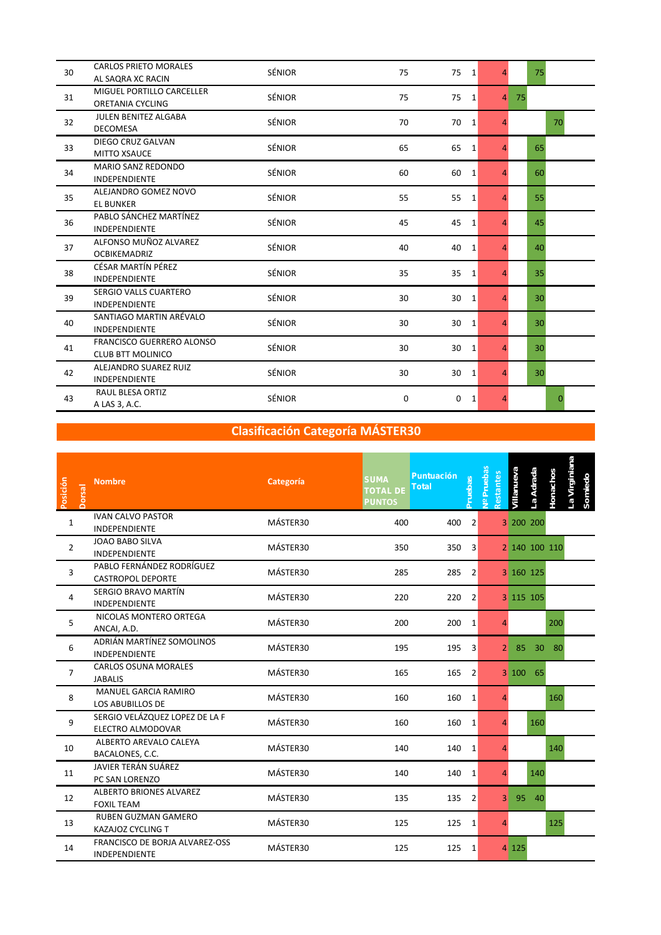| 30 | <b>CARLOS PRIETO MORALES</b><br>AL SAQRA XC RACIN            | <b>SÉNIOR</b> | 75 | 75<br><sup>1</sup> | $\overline{4}$ |    | 75              |          |
|----|--------------------------------------------------------------|---------------|----|--------------------|----------------|----|-----------------|----------|
| 31 | MIGUEL PORTILLO CARCELLER<br><b>ORETANIA CYCLING</b>         | <b>SÉNIOR</b> | 75 | 75<br>1            | $\overline{4}$ | 75 |                 |          |
| 32 | <b>JULEN BENITEZ ALGABA</b><br><b>DECOMESA</b>               | <b>SÉNIOR</b> | 70 | 70<br>1            | 4              |    |                 | 70       |
| 33 | DIEGO CRUZ GALVAN<br><b>MITTO XSAUCE</b>                     | <b>SÉNIOR</b> | 65 | 65<br>1            | $\overline{a}$ |    | 65              |          |
| 34 | <b>MARIO SANZ REDONDO</b><br><b>INDEPENDIENTE</b>            | <b>SÉNIOR</b> | 60 | 60<br>1            | $\overline{4}$ |    | 60              |          |
| 35 | ALEJANDRO GOMEZ NOVO<br><b>EL BUNKER</b>                     | SÉNIOR        | 55 | 55<br>1            | 4              |    | 55              |          |
| 36 | PABLO SÁNCHEZ MARTÍNEZ<br><b>INDEPENDIENTE</b>               | <b>SÉNIOR</b> | 45 | 45<br>1            | $\overline{4}$ |    | 45              |          |
| 37 | ALFONSO MUÑOZ ALVAREZ<br><b>OCBIKEMADRIZ</b>                 | <b>SÉNIOR</b> | 40 | 40<br>1            | 4              |    | 40              |          |
| 38 | CÉSAR MARTÍN PÉREZ<br><b>INDEPENDIENTE</b>                   | <b>SÉNIOR</b> | 35 | 35<br>1            | 4              |    | 35              |          |
| 39 | SERGIO VALLS CUARTERO<br><b>INDEPENDIENTE</b>                | SÉNIOR        | 30 | 30<br>1            | $\overline{a}$ |    | 30 <sup>°</sup> |          |
| 40 | SANTIAGO MARTIN ARÉVALO<br><b>INDEPENDIENTE</b>              | <b>SÉNIOR</b> | 30 | 30<br>1            | 4              |    | 30              |          |
| 41 | <b>FRANCISCO GUERRERO ALONSO</b><br><b>CLUB BTT MOLINICO</b> | SÉNIOR        | 30 | 30<br>1            | $\overline{4}$ |    | 30              |          |
| 42 | ALEJANDRO SUAREZ RUIZ<br><b>INDEPENDIENTE</b>                | <b>SÉNIOR</b> | 30 | 30<br>1            | $\overline{4}$ |    | 30 <sup>°</sup> |          |
| 43 | RAUL BLESA ORTIZ<br>A LAS 3, A.C.                            | <b>SÉNIOR</b> | 0  | $\Omega$<br>1      | 4              |    |                 | $\Omega$ |

| Posición<br><b>Dorsal</b> | <b>Nombre</b>                                          | Categoría | <b>SUMA</b><br><b>Total</b><br><b>TOTAL DE</b><br><b>PUNTOS</b> | <b>Puntuación</b><br><b>Pruebas</b> | <b>Pruebas</b><br>Restantes<br>$\frac{9}{2}$ | La Adrada<br>/illanueva | a Virginiana<br>Honachos<br>Somiedo |
|---------------------------|--------------------------------------------------------|-----------|-----------------------------------------------------------------|-------------------------------------|----------------------------------------------|-------------------------|-------------------------------------|
| $\mathbf{1}$              | <b>IVAN CALVO PASTOR</b><br><b>INDEPENDIENTE</b>       | MÁSTER30  | 400                                                             | 400<br>2                            |                                              | 3 200 200               |                                     |
| $\overline{2}$            | <b>JOAO BABO SILVA</b><br><b>INDEPENDIENTE</b>         | MÁSTER30  | 350                                                             | 350<br>3                            |                                              | 2 140 100 110           |                                     |
| 3                         | PABLO FERNÁNDEZ RODRÍGUEZ<br>CASTROPOL DEPORTE         | MÁSTER30  | 285                                                             | 285<br>2                            |                                              | 3 160 125               |                                     |
| 4                         | SERGIO BRAVO MARTÍN<br><b>INDEPENDIENTE</b>            | MÁSTER30  | 220                                                             | 220<br>2                            |                                              | 3 115 105               |                                     |
| 5                         | NICOLAS MONTERO ORTEGA<br>ANCAI, A.D.                  | MÁSTER30  | 200                                                             | 200<br>$\mathbf{1}$                 | Δ                                            |                         | 200                                 |
| 6                         | ADRIÁN MARTÍNEZ SOMOLINOS<br><b>INDEPENDIENTE</b>      | MÁSTER30  | 195                                                             | 195<br>3                            | 2 <sup>1</sup>                               | 85<br>30                | 80                                  |
| $\overline{7}$            | <b>CARLOS OSUNA MORALES</b><br><b>JABALIS</b>          | MÁSTER30  | 165                                                             | 165<br>2                            |                                              | 3 100<br>65             |                                     |
| 8                         | MANUEL GARCIA RAMIRO<br><b>LOS ABUBILLOS DE</b>        | MÁSTER30  | 160                                                             | 160<br>1                            | $\overline{a}$                               |                         | 160                                 |
| 9                         | SERGIO VELÁZQUEZ LOPEZ DE LA F<br>ELECTRO ALMODOVAR    | MÁSTER30  | 160                                                             | 160<br>1                            | 4                                            | 160                     |                                     |
| 10                        | ALBERTO AREVALO CALEYA<br>BACALONES, C.C.              | MÁSTER30  | 140                                                             | 140<br>1                            | $\overline{a}$                               |                         | 140                                 |
| 11                        | JAVIER TERÁN SUÁREZ<br>PC SAN LORENZO                  | MÁSTER30  | 140                                                             | 140<br>1                            | 4                                            | 140                     |                                     |
| 12                        | <b>ALBERTO BRIONES ALVAREZ</b><br><b>FOXIL TEAM</b>    | MÁSTER30  | 135                                                             | 135<br>2                            | $\mathbf{3}$                                 | 95<br>40                |                                     |
| 13                        | <b>RUBEN GUZMAN GAMERO</b><br><b>KAZAJOZ CYCLING T</b> | MÁSTER30  | 125                                                             | 125<br>$\mathbf{1}$                 | $\overline{4}$                               |                         | 125                                 |
| 14                        | FRANCISCO DE BORJA ALVAREZ-OSS<br>INDEPENDIENTE        | MÁSTER30  | 125                                                             | 125 1                               |                                              | 4 125                   |                                     |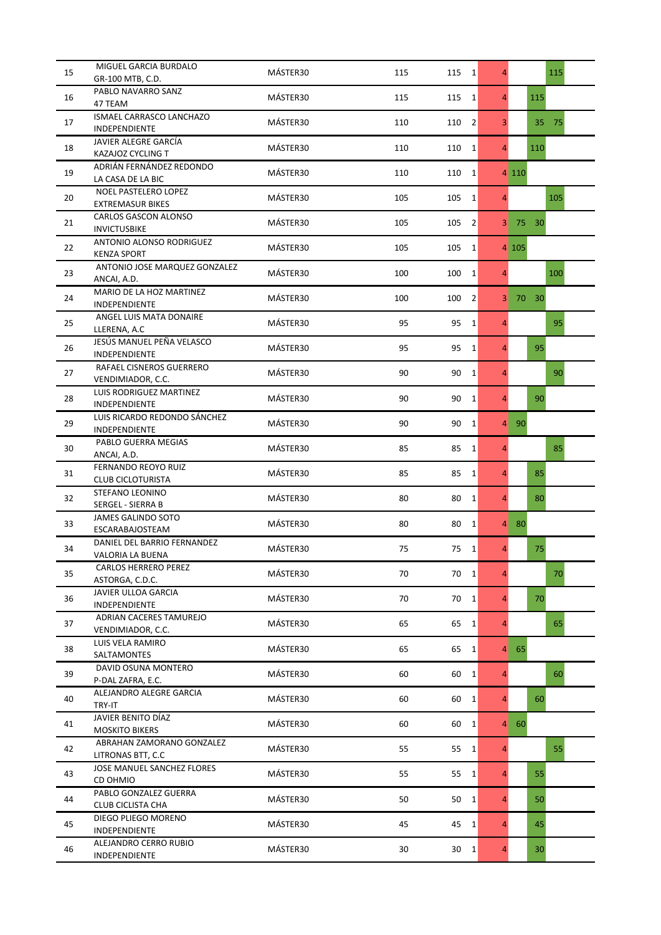| 15 | MIGUEL GARCIA BURDALO<br>GR-100 MTB, C.D.              | MÁSTER30 | 115 | 115<br>1              | $\overline{4}$ |       |       | 115 |
|----|--------------------------------------------------------|----------|-----|-----------------------|----------------|-------|-------|-----|
| 16 | PABLO NAVARRO SANZ<br>47 TEAM                          | MÁSTER30 | 115 | 115<br>$\mathbf{1}$   | $\overline{4}$ |       | 115   |     |
| 17 | ISMAEL CARRASCO LANCHAZO<br>INDEPENDIENTE              | MÁSTER30 | 110 | $\overline{2}$<br>110 | $\overline{3}$ |       | 35    | 75  |
| 18 | JAVIER ALEGRE GARCÍA<br>KAZAJOZ CYCLING T              | MÁSTER30 | 110 | 110<br>1              | $\overline{4}$ |       | 110   |     |
| 19 | ADRIÁN FERNÁNDEZ REDONDO<br>LA CASA DE LA BIC          | MÁSTER30 | 110 | 110<br>1              |                | 4 110 |       |     |
| 20 | <b>NOEL PASTELERO LOPEZ</b><br><b>EXTREMASUR BIKES</b> | MÁSTER30 | 105 | 105<br>1              | $\overline{4}$ |       |       | 105 |
| 21 | CARLOS GASCON ALONSO<br><b>INVICTUSBIKE</b>            | MÁSTER30 | 105 | $\overline{2}$<br>105 | 3 <sup>1</sup> | 75    | 30    |     |
| 22 | ANTONIO ALONSO RODRIGUEZ<br><b>KENZA SPORT</b>         | MÁSTER30 | 105 | 105<br>1              |                | 4 105 |       |     |
| 23 | ANTONIO JOSE MARQUEZ GONZALEZ<br>ANCAI, A.D.           | MÁSTER30 | 100 | 100<br>1              | $\overline{4}$ |       |       | 100 |
| 24 | MARIO DE LA HOZ MARTINEZ<br>INDEPENDIENTE              | MÁSTER30 | 100 | 100<br>$\overline{2}$ | 3 <sup>1</sup> |       | 70 30 |     |
| 25 | ANGEL LUIS MATA DONAIRE<br>LLERENA, A.C                | MÁSTER30 | 95  | 95<br>1               | $\overline{4}$ |       |       | 95  |
| 26 | JESÚS MANUEL PEÑA VELASCO<br>INDEPENDIENTE             | MÁSTER30 | 95  | 95<br>1               | $\overline{4}$ |       | 95    |     |
| 27 | RAFAEL CISNEROS GUERRERO<br>VENDIMIADOR, C.C.          | MÁSTER30 | 90  | 90<br>1               | $\overline{4}$ |       |       | 90  |
| 28 | LUIS RODRIGUEZ MARTINEZ<br>INDEPENDIENTE               | MÁSTER30 | 90  | 90<br>1               | $\overline{4}$ |       | 90    |     |
| 29 | LUIS RICARDO REDONDO SÁNCHEZ<br>INDEPENDIENTE          | MÁSTER30 | 90  | 90<br>$\mathbf{1}$    | $\overline{4}$ | 90    |       |     |
| 30 | PABLO GUERRA MEGIAS<br>ANCAI, A.D.                     | MÁSTER30 | 85  | 85<br>$1\vert$        | $\overline{4}$ |       |       | 85  |
| 31 | FERNANDO REOYO RUIZ<br><b>CLUB CICLOTURISTA</b>        | MÁSTER30 | 85  | 85<br>1               | $\overline{4}$ |       | 85    |     |
| 32 | STEFANO LEONINO<br>SERGEL - SIERRA B                   | MÁSTER30 | 80  | 80<br>$\vert$ 1       | $\overline{4}$ |       | 80    |     |
| 33 | <b>JAMES GALINDO SOTO</b><br><b>ESCARABAJOSTEAM</b>    | MÁSTER30 | 80  | 80<br>$\mathbf{1}$    | $\overline{4}$ | 80    |       |     |
| 34 | DANIEL DEL BARRIO FERNANDEZ<br>VALORIA LA BUENA        | MÁSTER30 | 75  | 75<br>1               | $\overline{4}$ |       | 75    |     |
| 35 | <b>CARLOS HERRERO PEREZ</b><br>ASTORGA, C.D.C.         | MÁSTER30 | 70  | 70<br>1               | $\overline{4}$ |       |       | 70  |
| 36 | <b>JAVIER ULLOA GARCIA</b><br><b>INDEPENDIENTE</b>     | MÁSTER30 | 70  | 70<br>$\vert$ 1       | $\overline{4}$ |       | 70    |     |
| 37 | ADRIAN CACERES TAMUREJO<br>VENDIMIADOR, C.C.           | MÁSTER30 | 65  | 65<br>$\mathbf{1}$    | $\overline{4}$ |       |       | 65  |
| 38 | LUIS VELA RAMIRO<br>SALTAMONTES                        | MÁSTER30 | 65  | 65<br> 1              | $\overline{4}$ | 65    |       |     |
| 39 | DAVID OSUNA MONTERO<br>P-DAL ZAFRA, E.C.               | MÁSTER30 | 60  | 60<br>1               | $\overline{4}$ |       |       | 60  |
| 40 | ALEJANDRO ALEGRE GARCIA<br>TRY-IT                      | MÁSTER30 | 60  | 60<br>$\vert$ 1       | $\overline{4}$ |       | 60    |     |
| 41 | JAVIER BENITO DÍAZ<br><b>MOSKITO BIKERS</b>            | MÁSTER30 | 60  | 60<br>$\vert$ 1       | $\overline{4}$ | 60    |       |     |
| 42 | ABRAHAN ZAMORANO GONZALEZ<br>LITRONAS BTT, C.C         | MÁSTER30 | 55  | 55<br>$\vert$ 1       | $\overline{4}$ |       |       | 55  |
| 43 | JOSE MANUEL SANCHEZ FLORES<br>CD OHMIO                 | MÁSTER30 | 55  | 55<br>$\vert$ 1       | $\overline{4}$ |       | 55    |     |
| 44 | PABLO GONZALEZ GUERRA<br><b>CLUB CICLISTA CHA</b>      | MÁSTER30 | 50  | 50<br>$\vert$ 1       | $\overline{4}$ |       | 50    |     |
| 45 | DIEGO PLIEGO MORENO<br><b>INDEPENDIENTE</b>            | MÁSTER30 | 45  | 45<br> 1              | $\overline{4}$ |       | 45    |     |
| 46 | ALEJANDRO CERRO RUBIO<br>INDEPENDIENTE                 | MÁSTER30 | 30  | $30 \quad 1$          | $\overline{4}$ |       | 30    |     |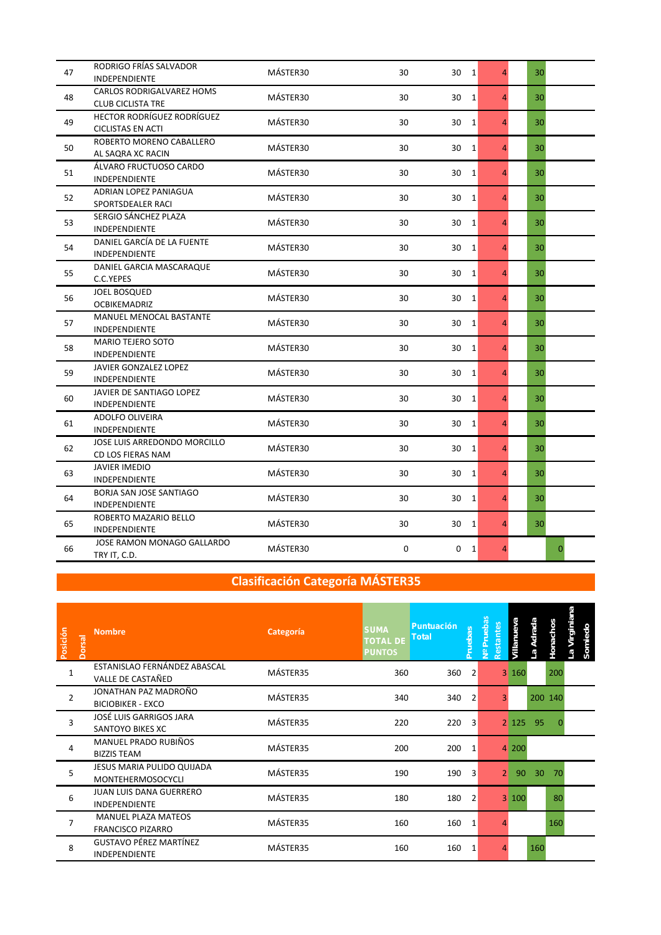| 47 | RODRIGO FRÍAS SALVADOR<br><b>INDEPENDIENTE</b>                | MÁSTER30 | 30 | 30 1                 | $\overline{4}$ | 30 |              |
|----|---------------------------------------------------------------|----------|----|----------------------|----------------|----|--------------|
| 48 | CARLOS RODRIGALVAREZ HOMS<br><b>CLUB CICLISTA TRE</b>         | MÁSTER30 | 30 | 30<br><sup>1</sup>   | $\overline{4}$ | 30 |              |
| 49 | <b>HECTOR RODRÍGUEZ RODRÍGUEZ</b><br><b>CICLISTAS EN ACTI</b> | MÁSTER30 | 30 | $\overline{1}$<br>30 | 4              | 30 |              |
| 50 | ROBERTO MORENO CABALLERO<br>AL SAQRA XC RACIN                 | MÁSTER30 | 30 | 30<br>1              | 4              | 30 |              |
| 51 | ÁLVARO FRUCTUOSO CARDO<br><b>INDEPENDIENTE</b>                | MÁSTER30 | 30 | 30<br>1              | $\overline{4}$ | 30 |              |
| 52 | ADRIAN LOPEZ PANIAGUA<br>SPORTSDEALER RACI                    | MÁSTER30 | 30 | 30<br>1              | $\overline{4}$ | 30 |              |
| 53 | SERGIO SÁNCHEZ PLAZA<br>INDEPENDIENTE                         | MÁSTER30 | 30 | 30<br>1              | 4              | 30 |              |
| 54 | DANIEL GARCÍA DE LA FUENTE<br><b>INDEPENDIENTE</b>            | MÁSTER30 | 30 | 30<br>1              | 4              | 30 |              |
| 55 | DANIEL GARCIA MASCARAQUE<br>C.C.YEPES                         | MÁSTER30 | 30 | 30<br>1              | 4              | 30 |              |
| 56 | <b>JOEL BOSQUED</b><br><b>OCBIKEMADRIZ</b>                    | MÁSTER30 | 30 | 30<br>1              | $\overline{4}$ | 30 |              |
| 57 | <b>MANUEL MENOCAL BASTANTE</b><br>INDEPENDIENTE               | MÁSTER30 | 30 | 30<br>1              | 4              | 30 |              |
| 58 | <b>MARIO TEJERO SOTO</b><br>INDEPENDIENTE                     | MÁSTER30 | 30 | 30<br>1              | 4              | 30 |              |
| 59 | JAVIER GONZALEZ LOPEZ<br><b>INDEPENDIENTE</b>                 | MÁSTER30 | 30 | 30<br>1              | 4              | 30 |              |
| 60 | JAVIER DE SANTIAGO LOPEZ<br>INDEPENDIENTE                     | MÁSTER30 | 30 | 30<br>1              | $\overline{4}$ | 30 |              |
| 61 | <b>ADOLFO OLIVEIRA</b><br>INDEPENDIENTE                       | MÁSTER30 | 30 | 30<br>1              | 4              | 30 |              |
| 62 | JOSE LUIS ARREDONDO MORCILLO<br>CD LOS FIERAS NAM             | MÁSTER30 | 30 | 30<br>1              | 4              | 30 |              |
| 63 | <b>JAVIER IMEDIO</b><br><b>INDEPENDIENTE</b>                  | MÁSTER30 | 30 | 30<br>1              | $\overline{4}$ | 30 |              |
| 64 | BORJA SAN JOSE SANTIAGO<br>INDEPENDIENTE                      | MÁSTER30 | 30 | 30<br>1              | $\overline{4}$ | 30 |              |
| 65 | ROBERTO MAZARIO BELLO<br><b>INDEPENDIENTE</b>                 | MÁSTER30 | 30 | 30<br>1              | 4              | 30 |              |
| 66 | JOSE RAMON MONAGO GALLARDO<br>TRY IT, C.D.                    | MÁSTER30 | 0  | 0<br>$\mathbf{1}$    | 4              |    | $\mathbf{0}$ |

| Posición<br>Dorsal | <b>Nombre</b>                                          | Categoría | <b>SUMA</b><br><b>Total</b><br><b>TOTAL DE</b><br><b>PUNTOS</b> | <b>Puntuación</b><br>Pruebas | <b>Pruebas</b><br>Restantes<br>ピ | Villanueva            | Adrada<br>$\mathbf{g}_\Box$ | Honachos | Virginiana<br>Somiedo<br>ЪT |  |
|--------------------|--------------------------------------------------------|-----------|-----------------------------------------------------------------|------------------------------|----------------------------------|-----------------------|-----------------------------|----------|-----------------------------|--|
| $\mathbf{1}$       | ESTANISLAO FERNÁNDEZ ABASCAL<br>VALLE DE CASTAÑED      | MÁSTER35  | 360                                                             | 360                          | 2                                | 3160                  |                             | 200      |                             |  |
| $\overline{2}$     | JONATHAN PAZ MADROÑO<br><b>BICIOBIKER - EXCO</b>       | MÁSTER35  | 340                                                             | 340                          | 2                                | 3                     |                             | 200 140  |                             |  |
| 3                  | JOSÉ LUIS GARRIGOS JARA<br>SANTOYO BIKES XC            | MÁSTER35  | 220                                                             | 220                          | 3                                | 2 125                 | -95                         | 0        |                             |  |
| 4                  | MANUEL PRADO RUBIÑOS<br><b>BIZZIS TEAM</b>             | MÁSTER35  | 200                                                             | 200<br>$\mathbf{1}$          |                                  | 200<br>$\overline{4}$ |                             |          |                             |  |
| 5                  | JESUS MARIA PULIDO QUIJADA<br>MONTEHERMOSOCYCLI        | MÁSTER35  | 190                                                             | 190                          | 3                                | $\overline{2}$        | 90<br>30                    | 70       |                             |  |
| 6                  | <b>JUAN LUIS DANA GUERRERO</b><br><b>INDEPENDIENTE</b> | MÁSTER35  | 180                                                             | 180                          | 2                                | 3 100                 |                             | 80       |                             |  |
| 7                  | <b>MANUEL PLAZA MATEOS</b><br><b>FRANCISCO PIZARRO</b> | MÁSTER35  | 160                                                             | 160<br>1                     |                                  |                       |                             | 160      |                             |  |
| 8                  | <b>GUSTAVO PÉREZ MARTÍNEZ</b><br><b>INDEPENDIENTE</b>  | MÁSTER35  | 160                                                             | 160                          |                                  |                       | 160                         |          |                             |  |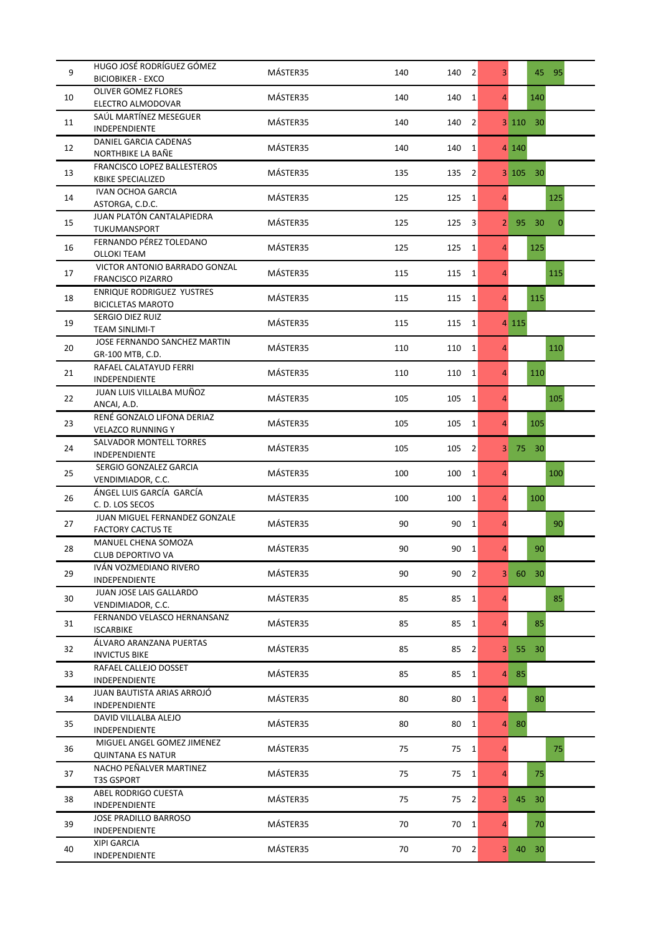| 9  | HUGO JOSÉ RODRÍGUEZ GÓMEZ<br><b>BICIOBIKER - EXCO</b>        | MÁSTER35 | 140<br>140 | $\overline{2}$ | $\overline{3}$ |         | 45              | $-95$        |
|----|--------------------------------------------------------------|----------|------------|----------------|----------------|---------|-----------------|--------------|
|    | <b>OLIVER GOMEZ FLORES</b>                                   |          |            |                |                |         |                 |              |
| 10 | ELECTRO ALMODOVAR                                            | MÁSTER35 | 140<br>140 | $\mathbf{1}$   | $\overline{4}$ |         | 140             |              |
| 11 | SAÚL MARTÍNEZ MESEGUER<br>INDEPENDIENTE                      | MÁSTER35 | 140<br>140 | $\overline{2}$ |                | 3 1 1 0 | 30 <sup>°</sup> |              |
| 12 | DANIEL GARCIA CADENAS<br>NORTHBIKE LA BAÑE                   | MÁSTER35 | 140<br>140 | 1              |                | 4 140   |                 |              |
| 13 | FRANCISCO LOPEZ BALLESTEROS<br><b>KBIKE SPECIALIZED</b>      | MÁSTER35 | 135<br>135 | 2              |                | 3 105   | $-30$           |              |
| 14 | <b>IVAN OCHOA GARCIA</b><br>ASTORGA, C.D.C.                  | MÁSTER35 | 125<br>125 | $\vert$ 1      | $\overline{4}$ |         |                 | 125          |
| 15 | JUAN PLATÓN CANTALAPIEDRA<br>TUKUMANSPORT                    | MÁSTER35 | 125<br>125 | 3              | 2 <sub>1</sub> | 95      | 30              | $\mathbf{0}$ |
| 16 | FERNANDO PÉREZ TOLEDANO<br><b>OLLOKI TEAM</b>                | MÁSTER35 | 125<br>125 | $\vert$ 1      | $\overline{4}$ |         | 125             |              |
| 17 | VICTOR ANTONIO BARRADO GONZAL<br><b>FRANCISCO PIZARRO</b>    | MÁSTER35 | 115<br>115 | $\vert$ 1      | $\overline{4}$ |         |                 | 115          |
| 18 | <b>ENRIQUE RODRIGUEZ YUSTRES</b><br><b>BICICLETAS MAROTO</b> | MÁSTER35 | 115<br>115 | $\vert$ 1      | $\overline{4}$ |         | 115             |              |
| 19 | SERGIO DIEZ RUIZ<br><b>TEAM SINLIMI-T</b>                    | MÁSTER35 | 115<br>115 | 1              |                | 4 1 1 5 |                 |              |
| 20 | JOSE FERNANDO SANCHEZ MARTIN<br>GR-100 MTB, C.D.             | MÁSTER35 | 110<br>110 | $\vert$ 1      | $\overline{4}$ |         |                 | 110          |
| 21 | RAFAEL CALATAYUD FERRI<br>INDEPENDIENTE                      | MÁSTER35 | 110<br>110 | 1              | $\overline{4}$ |         | 110             |              |
| 22 | JUAN LUIS VILLALBA MUÑOZ<br>ANCAI, A.D.                      | MÁSTER35 | 105<br>105 | $\vert$ 1      | $\overline{4}$ |         |                 | 105          |
| 23 | RENÉ GONZALO LIFONA DERIAZ<br><b>VELAZCO RUNNING Y</b>       | MÁSTER35 | 105<br>105 | $\vert$ 1      | $\overline{4}$ |         | 105             |              |
| 24 | SALVADOR MONTELL TORRES<br><b>INDEPENDIENTE</b>              | MÁSTER35 | 105<br>105 | $\overline{2}$ | 3 <sup>1</sup> | 75      | 30 <sup>°</sup> |              |
| 25 | SERGIO GONZALEZ GARCIA<br>VENDIMIADOR, C.C.                  | MÁSTER35 | 100<br>100 | 1              | $\overline{4}$ |         |                 | 100          |
| 26 | ÁNGEL LUIS GARCÍA GARCÍA<br>C. D. LOS SECOS                  | MÁSTER35 | 100<br>100 | $\vert$ 1      | $\overline{4}$ |         | 100             |              |
| 27 | JUAN MIGUEL FERNANDEZ GONZALE<br><b>FACTORY CACTUS TE</b>    | MÁSTER35 | 90<br>90   | $\vert$ 1      | $\overline{4}$ |         |                 | 90           |
| 28 | MANUEL CHENA SOMOZA<br>CLUB DEPORTIVO VA                     | MÁSTER35 | 90<br>90   | $\vert$ 1      | $\overline{4}$ |         | 90              |              |
| 29 | IVÁN VOZMEDIANO RIVERO<br><b>INDEPENDIENTE</b>               | MÁSTER35 | 90<br>90   | $\overline{2}$ | 3 <sup>1</sup> |         | 60 30           |              |
| 30 | JUAN JOSE LAIS GALLARDO<br>VENDIMIADOR, C.C.                 | MÁSTER35 | 85<br>85   | $\vert$ 1      | $\overline{4}$ |         |                 | 85           |
| 31 | FERNANDO VELASCO HERNANSANZ<br><b>ISCARBIKE</b>              | MÁSTER35 | 85<br>85   | $\mathbf{1}$   | $\overline{4}$ |         | 85              |              |
| 32 | ÁLVARO ARANZANA PUERTAS<br><b>INVICTUS BIKE</b>              | MÁSTER35 | 85<br>85   | $\vert$ 2      | 3 <sup>1</sup> | 55      | 30 <sup>°</sup> |              |
| 33 | RAFAEL CALLEJO DOSSET<br>INDEPENDIENTE                       | MÁSTER35 | 85<br>85   | 1              | $\overline{4}$ | 85      |                 |              |
| 34 | JUAN BAUTISTA ARIAS ARROJÓ<br>INDEPENDIENTE                  | MÁSTER35 | 80<br>80   | $\vert$ 1      | $\overline{4}$ |         | 80              |              |
| 35 | DAVID VILLALBA ALEJO<br>INDEPENDIENTE                        | MÁSTER35 | 80<br>80   | $\vert$ 1      | $\overline{4}$ | 80      |                 |              |
| 36 | MIGUEL ANGEL GOMEZ JIMENEZ<br><b>QUINTANA ES NATUR</b>       | MÁSTER35 | 75         | $75 \quad 1$   | $\overline{4}$ |         |                 | 75           |
| 37 | NACHO PEÑALVER MARTINEZ<br><b>T3S GSPORT</b>                 | MÁSTER35 | 75<br>75   | $\vert$ 1      | $\overline{4}$ |         | 75              |              |
| 38 | ABEL RODRIGO CUESTA<br>INDEPENDIENTE                         | MÁSTER35 | 75<br>75   | $\vert$ 2      | 3 <sup>1</sup> | 45      | 30 <sup>°</sup> |              |
| 39 | JOSE PRADILLO BARROSO<br>INDEPENDIENTE                       | MÁSTER35 | 70<br>70   | $\vert$ 1      | $\overline{4}$ |         | 70              |              |
| 40 | <b>XIPI GARCIA</b><br>INDEPENDIENTE                          | MÁSTER35 | 70         | $70$ 2         | 3 <sup>1</sup> |         | 40 30           |              |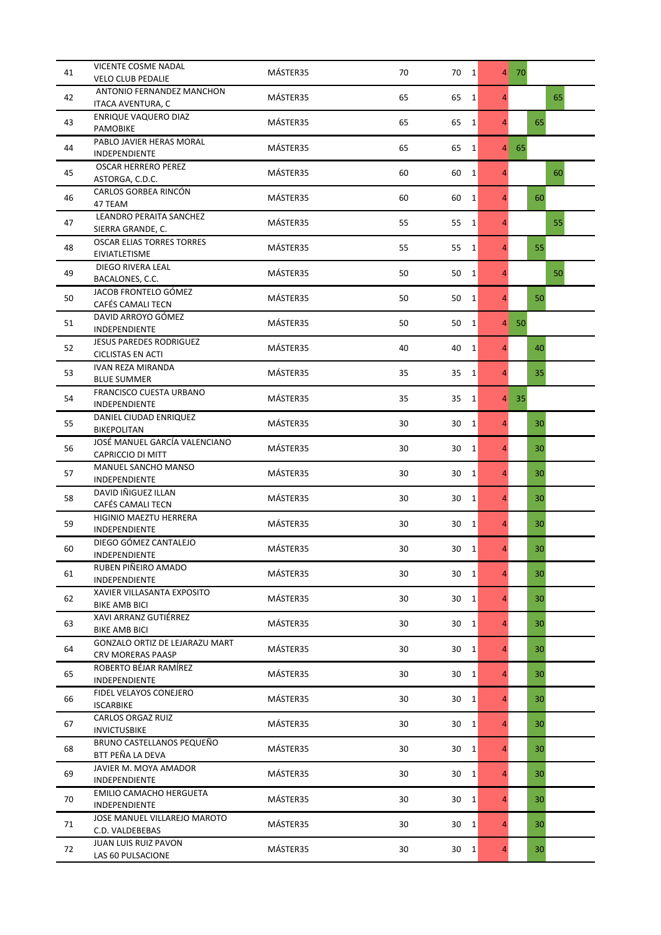| 41 | VICENTE COSME NADAL                                  | MÁSTER35 | 70 | $70 \quad 1$       |                | 4 70 |    |    |
|----|------------------------------------------------------|----------|----|--------------------|----------------|------|----|----|
|    | <b>VELO CLUB PEDALIE</b>                             |          |    |                    |                |      |    |    |
| 42 | ANTONIO FERNANDEZ MANCHON<br>ITACA AVENTURA, C       | MÁSTER35 | 65 | 65<br>$\mathbf{1}$ | $\overline{4}$ |      |    | 65 |
|    | ENRIQUE VAQUERO DIAZ                                 |          |    |                    |                |      |    |    |
| 43 | <b>PAMOBIKE</b>                                      | MÁSTER35 | 65 | 65<br>1            | $\overline{4}$ |      | 65 |    |
| 44 | PABLO JAVIER HERAS MORAL                             | MÁSTER35 | 65 | 65<br>1            | $\overline{4}$ | 65   |    |    |
|    | INDEPENDIENTE                                        |          |    |                    |                |      |    |    |
| 45 | <b>OSCAR HERRERO PEREZ</b>                           | MÁSTER35 | 60 | 60<br>1            | $\overline{4}$ |      |    | 60 |
|    | ASTORGA, C.D.C.<br>CARLOS GORBEA RINCÓN              |          |    |                    |                |      |    |    |
| 46 | 47 TEAM                                              | MÁSTER35 | 60 | 60<br>$\vert$ 1    | $\overline{4}$ |      | 60 |    |
|    | LEANDRO PERAITA SANCHEZ                              |          |    |                    |                |      |    |    |
| 47 | SIERRA GRANDE, C.                                    | MÁSTER35 | 55 | 55<br>$\vert$ 1    | $\overline{4}$ |      |    | 55 |
| 48 | <b>OSCAR ELIAS TORRES TORRES</b>                     | MÁSTER35 | 55 | 55<br>$\vert$ 1    | $\overline{4}$ |      | 55 |    |
|    | EIVIATLETISME                                        |          |    |                    |                |      |    |    |
| 49 | DIEGO RIVERA LEAL<br>BACALONES, C.C.                 | MÁSTER35 | 50 | 50<br>$\vert$ 1    | $\overline{4}$ |      |    | 50 |
|    | JACOB FRONTELO GÓMEZ                                 |          |    |                    |                |      |    |    |
| 50 | CAFÉS CAMALI TECN                                    | MÁSTER35 | 50 | 50<br>$\vert$ 1    | $\overline{4}$ |      | 50 |    |
| 51 | DAVID ARROYO GÓMEZ                                   | MÁSTER35 | 50 | 50<br>1            | $\overline{4}$ | 50   |    |    |
|    | INDEPENDIENTE                                        |          |    |                    |                |      |    |    |
| 52 | <b>JESUS PAREDES RODRIGUEZ</b>                       | MÁSTER35 | 40 | 40<br>1            | $\overline{4}$ |      | 40 |    |
|    | <b>CICLISTAS EN ACTI</b><br><b>IVAN REZA MIRANDA</b> |          |    |                    |                |      |    |    |
| 53 | <b>BLUE SUMMER</b>                                   | MÁSTER35 | 35 | 35<br>1            | $\overline{4}$ |      | 35 |    |
|    | FRANCISCO CUESTA URBANO                              |          |    |                    |                |      |    |    |
| 54 | INDEPENDIENTE                                        | MÁSTER35 | 35 | 35<br>$\vert$ 1    | $\overline{4}$ | 35   |    |    |
| 55 | DANIEL CIUDAD ENRIQUEZ                               | MÁSTER35 | 30 | 30<br>$\mathbf{1}$ | $\overline{4}$ |      | 30 |    |
|    | <b>BIKEPOLITAN</b>                                   |          |    |                    |                |      |    |    |
| 56 | JOSÉ MANUEL GARCÍA VALENCIANO<br>CAPRICCIO DI MITT   | MÁSTER35 | 30 | 30<br>$\vert$ 1    | $\overline{4}$ |      | 30 |    |
|    | MANUEL SANCHO MANSO                                  |          |    |                    |                |      |    |    |
| 57 | INDEPENDIENTE                                        | MÁSTER35 | 30 | 30<br>1            | $\overline{4}$ |      | 30 |    |
| 58 | DAVID IÑIGUEZ ILLAN                                  | MÁSTER35 | 30 | 30<br>$\vert$ 1    | $\overline{4}$ |      | 30 |    |
|    | CAFÉS CAMALI TECN                                    |          |    |                    |                |      |    |    |
| 59 | HIGINIO MAEZTU HERRERA                               | MÁSTER35 | 30 | 30<br>1            | $\overline{4}$ |      | 30 |    |
|    | INDEPENDIENTE<br>DIEGO GÓMEZ CANTALEJO               |          |    |                    |                |      |    |    |
| 60 | INDEPENDIENTE                                        | MÁSTER35 | 30 | 30<br>$\vert$ 1    | 4              |      | 30 |    |
|    | RUBEN PIÑEIRO AMADO                                  |          |    |                    |                |      |    |    |
| 61 | <b>INDEPENDIENTE</b>                                 | MÁSTER35 | 30 | 30<br>1            | $\overline{4}$ |      | 30 |    |
| 62 | XAVIER VILLASANTA EXPOSITO                           | MÁSTER35 | 30 | 30<br>$\vert$ 1    | $\overline{4}$ |      | 30 |    |
|    | <b>BIKE AMB BICI</b>                                 |          |    |                    |                |      |    |    |
| 63 | XAVI ARRANZ GUTIÉRREZ<br><b>BIKE AMB BICI</b>        | MÁSTER35 | 30 | 30<br>$\mathbf{1}$ | $\overline{4}$ |      | 30 |    |
|    | GONZALO ORTIZ DE LEJARAZU MART                       |          |    |                    |                |      |    |    |
| 64 | CRV MORERAS PAASP                                    | MÁSTER35 | 30 | 1<br>30            | 4              |      | 30 |    |
| 65 | ROBERTO BÉJAR RAMÍREZ                                | MÁSTER35 | 30 | 30<br>1            | $\overline{4}$ |      | 30 |    |
|    | INDEPENDIENTE                                        |          |    |                    |                |      |    |    |
| 66 | FIDEL VELAYOS CONEJERO                               | MÁSTER35 | 30 | 30<br>$\vert$ 1    | $\overline{4}$ |      | 30 |    |
|    | <b>ISCARBIKE</b><br><b>CARLOS ORGAZ RUIZ</b>         |          |    |                    |                |      |    |    |
| 67 | <b>INVICTUSBIKE</b>                                  | MÁSTER35 | 30 | 30<br>$\vert$ 1    | $\overline{4}$ |      | 30 |    |
|    | BRUNO CASTELLANOS PEQUEÑO                            |          |    |                    |                |      |    |    |
| 68 | BTT PEÑA LA DEVA                                     | MÁSTER35 | 30 | 30<br>$\vert$ 1    | $\overline{4}$ |      | 30 |    |
| 69 | JAVIER M. MOYA AMADOR                                | MÁSTER35 | 30 | 30<br>$\vert$ 1    | $\overline{4}$ |      | 30 |    |
|    | INDEPENDIENTE                                        |          |    |                    |                |      |    |    |
| 70 | EMILIO CAMACHO HERGUETA<br>INDEPENDIENTE             | MÁSTER35 | 30 | 30<br>$\vert$ 1    | $\overline{4}$ |      | 30 |    |
|    | JOSE MANUEL VILLAREJO MAROTO                         |          |    |                    |                |      |    |    |
| 71 | C.D. VALDEBEBAS                                      | MÁSTER35 | 30 | 30<br>$\vert$ 1    | $\overline{4}$ |      | 30 |    |
| 72 | JUAN LUIS RUIZ PAVON                                 | MÁSTER35 | 30 | $30 \quad 1$       | $\overline{4}$ |      | 30 |    |
|    | LAS 60 PULSACIONE                                    |          |    |                    |                |      |    |    |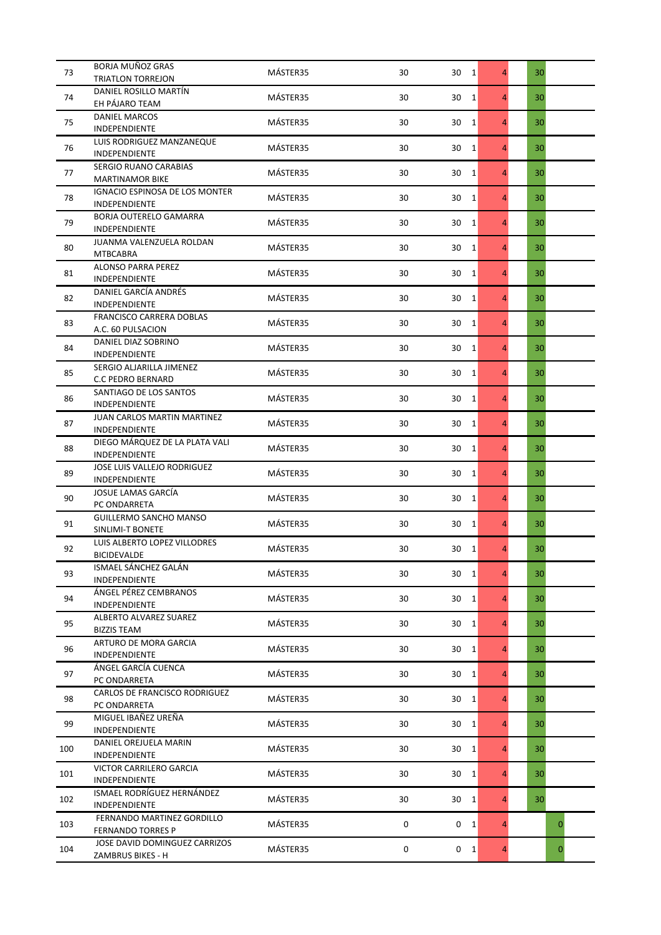| 73  | <b>BORJA MUÑOZ GRAS</b>                                       | MÁSTER35 | 30 | 30 1                 | $\overline{4}$ | 30           |
|-----|---------------------------------------------------------------|----------|----|----------------------|----------------|--------------|
|     | <b>TRIATLON TORREJON</b>                                      |          |    |                      |                |              |
| 74  | DANIEL ROSILLO MARTÍN<br>EH PÁJARO TEAM                       | MÁSTER35 | 30 | 30<br>1              | $\overline{4}$ | 30           |
|     | <b>DANIEL MARCOS</b>                                          |          |    |                      |                |              |
| 75  | <b>INDEPENDIENTE</b>                                          | MÁSTER35 | 30 | 30<br>1              | 4              | 30           |
| 76  | LUIS RODRIGUEZ MANZANEQUE<br><b>INDEPENDIENTE</b>             | MÁSTER35 | 30 | 30<br>1              | 4              | 30           |
| 77  | SERGIO RUANO CARABIAS<br><b>MARTINAMOR BIKE</b>               | MÁSTER35 | 30 | 30<br>1              | $\overline{4}$ | 30           |
| 78  | <b>IGNACIO ESPINOSA DE LOS MONTER</b><br><b>INDEPENDIENTE</b> | MÁSTER35 | 30 | 30<br>$\mathbf{1}$   | $\overline{4}$ | 30           |
| 79  | <b>BORJA OUTERELO GAMARRA</b><br><b>INDEPENDIENTE</b>         | MÁSTER35 | 30 | 30<br>1              | 4              | 30           |
| 80  | JUANMA VALENZUELA ROLDAN<br><b>MTBCABRA</b>                   | MÁSTER35 | 30 | 30<br>1              | $\overline{4}$ | 30           |
| 81  | <b>ALONSO PARRA PEREZ</b><br><b>INDEPENDIENTE</b>             | MÁSTER35 | 30 | 30<br>1              | $\overline{4}$ | 30           |
| 82  | DANIEL GARCÍA ANDRÉS<br><b>INDEPENDIENTE</b>                  | MÁSTER35 | 30 | 30<br>1              | $\overline{4}$ | 30           |
| 83  | <b>FRANCISCO CARRERA DOBLAS</b><br>A.C. 60 PULSACION          | MÁSTER35 | 30 | 30<br>1              | 4              | 30           |
| 84  | DANIEL DIAZ SOBRINO<br><b>INDEPENDIENTE</b>                   | MÁSTER35 | 30 | 30<br>1              | 4              | 30           |
| 85  | SERGIO ALJARILLA JIMENEZ<br><b>C.C PEDRO BERNARD</b>          | MÁSTER35 | 30 | 30<br>1              | 4              | 30           |
| 86  | SANTIAGO DE LOS SANTOS<br>INDEPENDIENTE                       | MÁSTER35 | 30 | 30<br>1              | $\overline{4}$ | 30           |
| 87  | JUAN CARLOS MARTIN MARTINEZ<br><b>INDEPENDIENTE</b>           | MÁSTER35 | 30 | 30<br>1              | 4              | 30           |
| 88  | DIEGO MÁRQUEZ DE LA PLATA VALI<br><b>INDEPENDIENTE</b>        | MÁSTER35 | 30 | 30<br>1              | 4              | 30           |
| 89  | JOSE LUIS VALLEJO RODRIGUEZ<br><b>INDEPENDIENTE</b>           | MÁSTER35 | 30 | 30<br>1              | $\overline{4}$ | 30           |
| 90  | JOSUE LAMAS GARCÍA<br>PC ONDARRETA                            | MÁSTER35 | 30 | 30<br>1              | $\overline{4}$ | 30           |
| 91  | <b>GUILLERMO SANCHO MANSO</b><br>SINLIMI-T BONETE             | MÁSTER35 | 30 | 30<br>1              | 4              | 30           |
| 92  | LUIS ALBERTO LOPEZ VILLODRES<br><b>BICIDEVALDE</b>            | MÁSTER35 | 30 | 30<br>$\overline{1}$ | 4              | 30           |
| 93  | ISMAEL SÁNCHEZ GALÁN<br>INDEPENDIENTE                         | MÁSTER35 | 30 | 30 1                 | $\overline{4}$ | 30           |
| 94  | ÁNGEL PÉREZ CEMBRANOS<br><b>INDEPENDIENTE</b>                 | MÁSTER35 | 30 | 30 1                 | $\overline{4}$ | 30           |
| 95  | ALBERTO ALVAREZ SUAREZ<br><b>BIZZIS TEAM</b>                  | MÁSTER35 | 30 | 30 1                 | $\overline{4}$ | 30           |
| 96  | ARTURO DE MORA GARCIA<br>INDEPENDIENTE                        | MÁSTER35 | 30 | 30<br>1              | 4              | 30           |
| 97  | ÁNGEL GARCÍA CUENCA<br>PC ONDARRETA                           | MÁSTER35 | 30 | 30<br>1              | $\overline{4}$ | 30           |
| 98  | CARLOS DE FRANCISCO RODRIGUEZ<br>PC ONDARRETA                 | MÁSTER35 | 30 | 30<br>1              | $\overline{4}$ | 30           |
| 99  | MIGUEL IBAÑEZ UREÑA<br>INDEPENDIENTE                          | MÁSTER35 | 30 | 30<br>1              | $\overline{4}$ | 30           |
| 100 | DANIEL OREJUELA MARIN<br><b>INDEPENDIENTE</b>                 | MÁSTER35 | 30 | 30<br>1              | 4              | 30           |
| 101 | VICTOR CARRILERO GARCIA<br><b>INDEPENDIENTE</b>               | MÁSTER35 | 30 | 30<br>1              | $\overline{4}$ | 30           |
| 102 | ISMAEL RODRÍGUEZ HERNÁNDEZ<br><b>INDEPENDIENTE</b>            | MÁSTER35 | 30 | 30<br>1              | $\overline{4}$ | 30           |
| 103 | FERNANDO MARTINEZ GORDILLO<br><b>FERNANDO TORRES P</b>        | MÁSTER35 | 0  | 0<br>1               | $\overline{4}$ | $\mathbf{0}$ |
| 104 | JOSE DAVID DOMINGUEZ CARRIZOS<br>ZAMBRUS BIKES - H            | MÁSTER35 | 0  | $0 \quad 1$          | 4              | $\mathbf 0$  |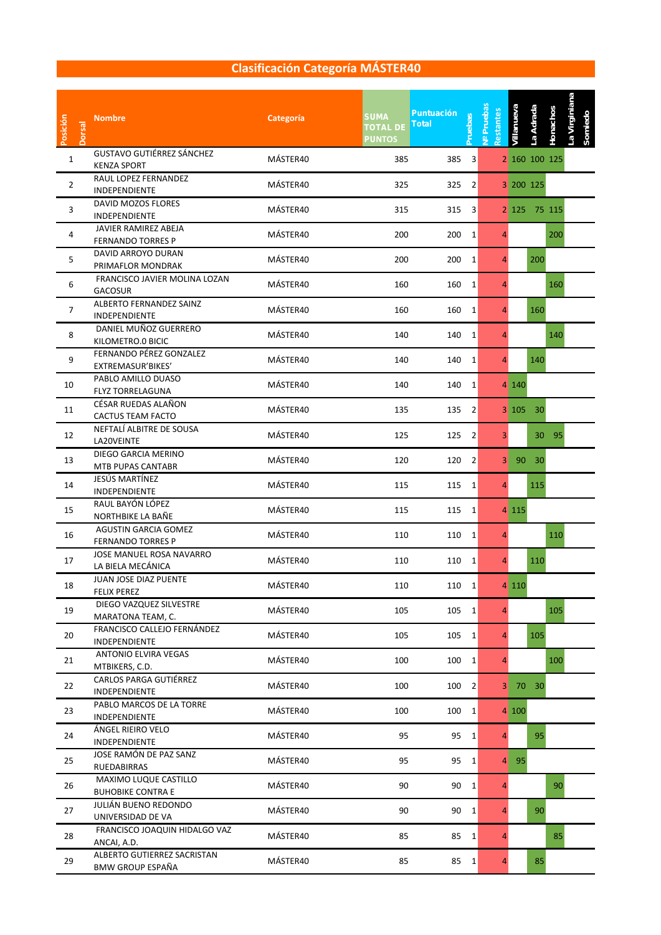| Posición<br><b>Dorsal</b> | <b>Nombre</b>                                           | <b>Categoría</b> | <b>SUMA</b><br><b>TOTAL DE</b><br><b>PUNTOS</b> | <b>Puntuación</b><br><b>Pruebas</b><br><b>Total</b> | Nº Pruebas<br>Restantes | villanueva   | La Adrada     | La Virginiana<br>Honachos<br>Somiedo |  |
|---------------------------|---------------------------------------------------------|------------------|-------------------------------------------------|-----------------------------------------------------|-------------------------|--------------|---------------|--------------------------------------|--|
| 1                         | <b>GUSTAVO GUTIÉRREZ SÁNCHEZ</b><br><b>KENZA SPORT</b>  | MÁSTER40         | 385                                             | 3<br>385                                            |                         |              | 2 160 100 125 |                                      |  |
| $\overline{2}$            | RAUL LOPEZ FERNANDEZ<br><b>INDEPENDIENTE</b>            | MÁSTER40         | 325                                             | 325<br>2                                            |                         | 3 200 125    |               |                                      |  |
| 3                         | DAVID MOZOS FLORES<br><b>INDEPENDIENTE</b>              | MÁSTER40         | 315                                             | 315<br>3                                            |                         | $2 \mid 125$ | 75 115        |                                      |  |
| 4                         | JAVIER RAMIREZ ABEJA<br><b>FERNANDO TORRES P</b>        | MÁSTER40         | 200                                             | 200<br>1                                            | 4                       |              |               | 200                                  |  |
| 5                         | DAVID ARROYO DURAN<br>PRIMAFLOR MONDRAK                 | MÁSTER40         | 200                                             | 200<br>1                                            | 4                       |              | 200           |                                      |  |
| 6                         | FRANCISCO JAVIER MOLINA LOZAN<br><b>GACOSUR</b>         | MÁSTER40         | 160                                             | 160<br>1                                            | 4                       |              |               | 160                                  |  |
| $\overline{7}$            | ALBERTO FERNANDEZ SAINZ<br>INDEPENDIENTE                | MÁSTER40         | 160                                             | 160<br>1                                            | 4                       |              | 160           |                                      |  |
| 8                         | DANIEL MUÑOZ GUERRERO<br>KILOMETRO.0 BICIC              | MÁSTER40         | 140                                             | $\mathbf{1}$<br>140                                 | $\overline{4}$          |              |               | 140                                  |  |
| 9                         | FERNANDO PÉREZ GONZALEZ<br>EXTREMASUR'BIKES'            | MÁSTER40         | 140                                             | $\mathbf{1}$<br>140                                 | 4                       |              | 140           |                                      |  |
| 10                        | PABLO AMILLO DUASO<br><b>FLYZ TORRELAGUNA</b>           | MÁSTER40         | 140                                             | 140<br>1                                            |                         | 4 140        |               |                                      |  |
| 11                        | CÉSAR RUEDAS ALAÑON<br>CACTUS TEAM FACTO                | MÁSTER40         | 135                                             | 135<br>2                                            |                         | 3 105        | 30            |                                      |  |
| 12                        | NEFTALÍ ALBITRE DE SOUSA<br>LA20VEINTE                  | MÁSTER40         | 125                                             | 125<br>2                                            | 3                       |              | 30            | 95                                   |  |
| 13                        | DIEGO GARCIA MERINO<br>MTB PUPAS CANTABR                | MÁSTER40         | 120                                             | 120<br>$\overline{2}$                               | $\mathbf{3}$            | 90           | 30            |                                      |  |
| 14                        | JESÚS MARTÍNEZ<br>INDEPENDIENTE                         | MÁSTER40         | 115                                             | 115<br>1                                            | 4                       |              | 115           |                                      |  |
| 15                        | RAUL BAYÓN LÓPEZ<br>NORTHBIKE LA BAÑE                   | MÁSTER40         | 115                                             | 115<br>1                                            |                         | 4 1 1 5      |               |                                      |  |
| 16                        | <b>AGUSTIN GARCIA GOMEZ</b><br><b>FERNANDO TORRES P</b> | MÁSTER40         | 110                                             | 110<br>1                                            | 4                       |              |               | 110                                  |  |
| 17                        | JOSE MANUEL ROSA NAVARRO<br>LA BIELA MECÁNICA           | MÁSTER40         | 110                                             | 110<br>1                                            | 4                       |              | 110           |                                      |  |
| 18                        | JUAN JOSE DIAZ PUENTE<br><b>FELIX PEREZ</b>             | MÁSTER40         | 110                                             | $\mathbf{1}$<br>110                                 |                         | 4 1 1 0      |               |                                      |  |
| 19                        | DIEGO VAZQUEZ SILVESTRE<br>MARATONA TEAM, C.            | MÁSTER40         | 105                                             | 105<br>$\mathbf{1}$                                 | 4                       |              |               | 105                                  |  |
| 20                        | FRANCISCO CALLEJO FERNÁNDEZ<br><b>INDEPENDIENTE</b>     | MÁSTER40         | 105                                             | 105<br>$\mathbf{1}$                                 | 4                       |              | 105           |                                      |  |
| 21                        | <b>ANTONIO ELVIRA VEGAS</b><br>MTBIKERS, C.D.           | MÁSTER40         | 100                                             | 100<br>$\mathbf{1}$                                 | $\overline{4}$          |              |               | 100                                  |  |
| 22                        | CARLOS PARGA GUTIÉRREZ<br><b>INDEPENDIENTE</b>          | MÁSTER40         | 100                                             | 100<br>$\overline{2}$                               |                         | 3 70 30      |               |                                      |  |
| 23                        | PABLO MARCOS DE LA TORRE<br><b>INDEPENDIENTE</b>        | MÁSTER40         | 100                                             | 100<br>$\mathbf{1}$                                 |                         | 4 100        |               |                                      |  |
| 24                        | ÁNGEL RIEIRO VELO<br><b>INDEPENDIENTE</b>               | MÁSTER40         | 95                                              | 95<br>1                                             | 4                       |              | 95            |                                      |  |
| 25                        | JOSE RAMÓN DE PAZ SANZ<br>RUEDABIRRAS                   | MÁSTER40         | 95                                              | 95<br>$\mathbf{1}$                                  |                         | 4 95         |               |                                      |  |
| 26                        | MAXIMO LUQUE CASTILLO<br><b>BUHOBIKE CONTRA E</b>       | MÁSTER40         | 90                                              | 90<br>$\mathbf{1}$                                  | 4                       |              |               | 90                                   |  |
| 27                        | JULIÁN BUENO REDONDO<br>UNIVERSIDAD DE VA               | MÁSTER40         | 90                                              | 90<br>$\mathbf{1}$                                  | 4                       |              | 90            |                                      |  |
| 28                        | FRANCISCO JOAQUIN HIDALGO VAZ<br>ANCAI, A.D.            | MÁSTER40         | 85                                              | 85<br>1                                             | 4                       |              |               | 85                                   |  |
| 29                        | ALBERTO GUTIERREZ SACRISTAN<br><b>BMW GROUP ESPAÑA</b>  | MÁSTER40         | 85                                              | 85<br>1                                             | 4                       |              | 85            |                                      |  |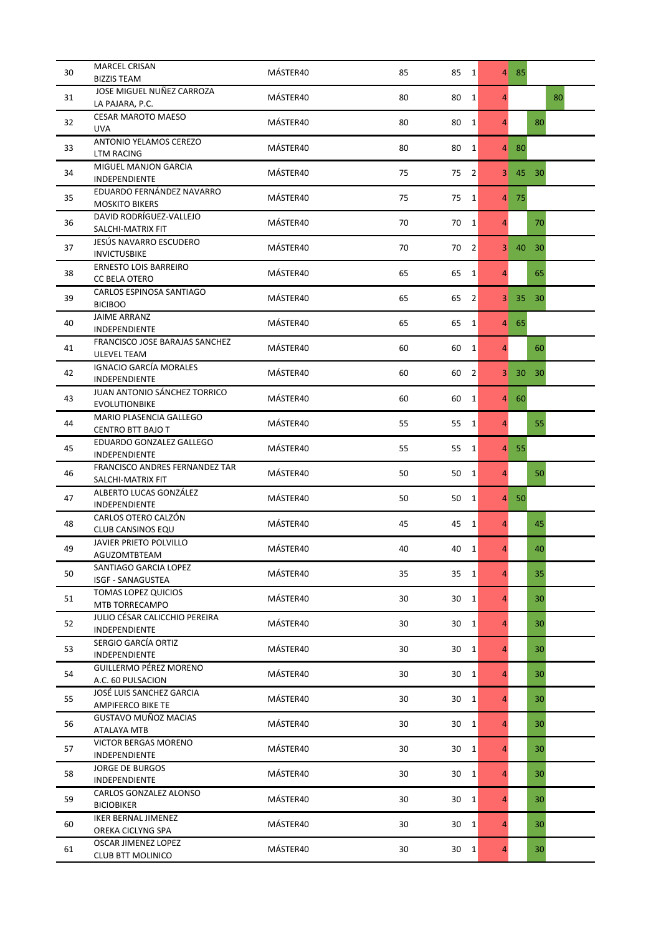| 30 | <b>MARCEL CRISAN</b>                                   | MÁSTER40 | 85<br>85 | 1               | $\overline{4}$ | - 85 |                 |    |
|----|--------------------------------------------------------|----------|----------|-----------------|----------------|------|-----------------|----|
|    | <b>BIZZIS TEAM</b><br>JOSE MIGUEL NUÑEZ CARROZA        |          |          |                 |                |      |                 |    |
| 31 | LA PAJARA, P.C.                                        | MÁSTER40 | 80<br>80 | $\mathbf{1}$    | $\overline{4}$ |      |                 | 80 |
| 32 | <b>CESAR MAROTO MAESO</b><br><b>UVA</b>                | MÁSTER40 | 80<br>80 | $\mathbf{1}$    | $\overline{4}$ |      | 80              |    |
| 33 | <b>ANTONIO YELAMOS CEREZO</b><br><b>LTM RACING</b>     | MÁSTER40 | 80<br>80 | $\vert$ 1       | $\overline{4}$ | 80   |                 |    |
| 34 | MIGUEL MANJON GARCIA<br><b>INDEPENDIENTE</b>           | MÁSTER40 | 75<br>75 | $\overline{2}$  | 3 <sup>1</sup> | 45   | 30 <sup>°</sup> |    |
| 35 | EDUARDO FERNÁNDEZ NAVARRO<br><b>MOSKITO BIKERS</b>     | MÁSTER40 | 75<br>75 | $\vert$ 1       | $\overline{4}$ | 75   |                 |    |
| 36 | DAVID RODRÍGUEZ-VALLEJO<br>SALCHI-MATRIX FIT           | MÁSTER40 | 70<br>70 | $\mathbf{1}$    | $\overline{4}$ |      | 70              |    |
| 37 | JESÚS NAVARRO ESCUDERO<br><b>INVICTUSBIKE</b>          | MÁSTER40 | 70<br>70 | $\overline{2}$  | 3 <sup>1</sup> | 40   | 30              |    |
| 38 | <b>ERNESTO LOIS BARREIRO</b><br>CC BELA OTERO          | MÁSTER40 | 65<br>65 | 1               | $\overline{4}$ |      | 65              |    |
| 39 | CARLOS ESPINOSA SANTIAGO<br><b>BICIBOO</b>             | MÁSTER40 | 65<br>65 | $\overline{2}$  | 3 <sup>1</sup> | 35   | 30 <sup>°</sup> |    |
| 40 | <b>JAIME ARRANZ</b><br><b>INDEPENDIENTE</b>            | MÁSTER40 | 65<br>65 | $\mathbf{1}$    | $\overline{4}$ | 65   |                 |    |
| 41 | FRANCISCO JOSE BARAJAS SANCHEZ<br><b>ULEVEL TEAM</b>   | MÁSTER40 | 60<br>60 | $\mathbf{1}$    | $\overline{4}$ |      | 60              |    |
| 42 | <b>IGNACIO GARCÍA MORALES</b><br><b>INDEPENDIENTE</b>  | MÁSTER40 | 60<br>60 | 2               | 3 <sup>1</sup> | 30   | 30 <sup>°</sup> |    |
| 43 | JUAN ANTONIO SÁNCHEZ TORRICO<br><b>EVOLUTIONBIKE</b>   | MÁSTER40 | 60<br>60 | $\mathbf{1}$    | $\overline{4}$ | 60   |                 |    |
| 44 | MARIO PLASENCIA GALLEGO<br>CENTRO BTT BAJO T           | MÁSTER40 | 55<br>55 | $1\vert$        | $\overline{4}$ |      | 55              |    |
| 45 | EDUARDO GONZALEZ GALLEGO<br><b>INDEPENDIENTE</b>       | MÁSTER40 | 55<br>55 | $\vert$ 1       | $\overline{4}$ | 55   |                 |    |
| 46 | FRANCISCO ANDRES FERNANDEZ TAR<br>SALCHI-MATRIX FIT    | MÁSTER40 | 50<br>50 | 1               | $\overline{4}$ |      | 50              |    |
| 47 | ALBERTO LUCAS GONZÁLEZ<br>INDEPENDIENTE                | MÁSTER40 | 50<br>50 | 1               | $\overline{4}$ | 50   |                 |    |
| 48 | CARLOS OTERO CALZÓN<br>CLUB CANSINOS EQU               | MÁSTER40 | 45<br>45 | $\vert$ 1       | $\overline{4}$ |      | 45              |    |
| 49 | <b>JAVIER PRIETO POLVILLO</b><br>AGUZOMTBTEAM          | MÁSTER40 | 40<br>40 | 1               | 4              |      | 40              |    |
| 50 | SANTIAGO GARCIA LOPEZ<br>ISGF - SANAGUSTEA             | MÁSTER40 | 35<br>35 | $\vert$ 1       | $\overline{4}$ |      | 35              |    |
| 51 | <b>TOMAS LOPEZ QUICIOS</b><br>MTB TORRECAMPO           | MÁSTER40 | 30<br>30 | 1               | $\overline{4}$ |      | 30              |    |
| 52 | JULIO CÉSAR CALICCHIO PEREIRA<br>INDEPENDIENTE         | MÁSTER40 | 30<br>30 | $\vert$ 1       | $\overline{4}$ |      | 30              |    |
| 53 | SERGIO GARCÍA ORTIZ<br>INDEPENDIENTE                   | MÁSTER40 | 30<br>30 | 1               | $\overline{4}$ |      | 30              |    |
| 54 | GUILLERMO PÉREZ MORENO<br>A.C. 60 PULSACION            | MÁSTER40 | 30<br>30 | $\vert$ 1       | $\overline{4}$ |      | 30              |    |
| 55 | JOSÉ LUIS SANCHEZ GARCIA<br><b>AMPIFERCO BIKE TE</b>   | MÁSTER40 | 30<br>30 | 1               | $\overline{4}$ |      | 30              |    |
| 56 | GUSTAVO MUÑOZ MACIAS<br>ATALAYA MTB                    | MÁSTER40 | 30<br>30 | $\vert$ 1       | $\overline{4}$ |      | 30              |    |
| 57 | VICTOR BERGAS MORENO<br><b>INDEPENDIENTE</b>           | MÁSTER40 | 30<br>30 | $\vert$ 1       | $\overline{4}$ |      | 30              |    |
| 58 | <b>JORGE DE BURGOS</b><br>INDEPENDIENTE                | MÁSTER40 | 30<br>30 | $\vert$ 1       | $\overline{4}$ |      | 30              |    |
| 59 | CARLOS GONZALEZ ALONSO<br><b>BICIOBIKER</b>            | MÁSTER40 | 30<br>30 | $\vert$ 1       | $\overline{4}$ |      | 30              |    |
| 60 | <b>IKER BERNAL JIMENEZ</b><br>OREKA CICLYNG SPA        | MÁSTER40 | 30<br>30 | $\vert$ 1       | $\overline{4}$ |      | 30              |    |
| 61 | <b>OSCAR JIMENEZ LOPEZ</b><br><b>CLUB BTT MOLINICO</b> | MÁSTER40 | 30       | 30<br>$\vert$ 1 | $\overline{4}$ |      | 30              |    |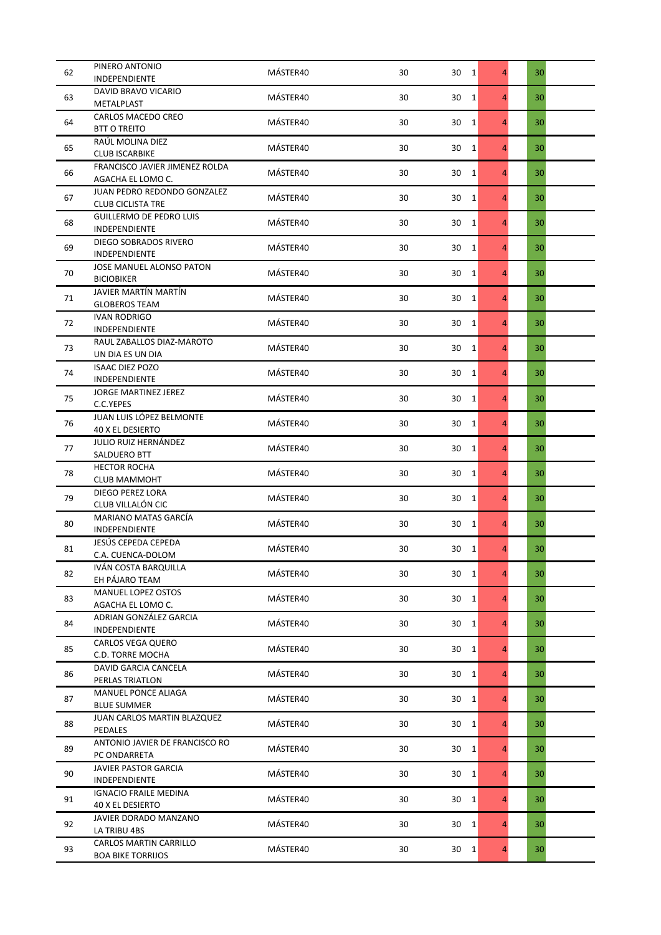| 62 | PINERO ANTONIO                                             | MÁSTER40 | 30 | 30 <sub>1</sub>       | $\overline{4}$ | 30 |  |
|----|------------------------------------------------------------|----------|----|-----------------------|----------------|----|--|
|    | INDEPENDIENTE                                              |          |    |                       |                |    |  |
| 63 | <b>DAVID BRAVO VICARIO</b>                                 | MÁSTER40 | 30 | 30<br>1               | $\overline{4}$ | 30 |  |
|    | METALPLAST                                                 |          |    |                       |                |    |  |
| 64 | CARLOS MACEDO CREO<br><b>BTT O TREITO</b>                  | MÁSTER40 | 30 | 30<br>$\mathbf{1}$    | $\overline{4}$ | 30 |  |
| 65 | RAUL MOLINA DIEZ<br><b>CLUB ISCARBIKE</b>                  | MÁSTER40 | 30 | 30<br>$\mathbf{1}$    | $\overline{4}$ | 30 |  |
| 66 | FRANCISCO JAVIER JIMENEZ ROLDA<br>AGACHA EL LOMO C.        | MÁSTER40 | 30 | 30<br>$\mathbf{1}$    | $\overline{4}$ | 30 |  |
| 67 | JUAN PEDRO REDONDO GONZALEZ                                | MÁSTER40 | 30 | $\mathbf{1}$<br>30    | $\overline{4}$ | 30 |  |
| 68 | <b>CLUB CICLISTA TRE</b><br><b>GUILLERMO DE PEDRO LUIS</b> | MÁSTER40 | 30 | $\mathbf{1}$<br>30    | $\overline{4}$ | 30 |  |
|    | INDEPENDIENTE<br>DIEGO SOBRADOS RIVERO                     |          |    |                       |                |    |  |
| 69 | INDEPENDIENTE<br>JOSE MANUEL ALONSO PATON                  | MÁSTER40 | 30 | 30<br>$\mathbf{1}$    | $\overline{4}$ | 30 |  |
| 70 | <b>BICIOBIKER</b>                                          | MÁSTER40 | 30 | 30<br>$\mathbf{1}$    | $\overline{4}$ | 30 |  |
| 71 | JAVIER MARTÍN MARTÍN<br><b>GLOBEROS TEAM</b>               | MÁSTER40 | 30 | 30<br>1               | $\overline{4}$ | 30 |  |
| 72 | <b>IVAN RODRIGO</b><br>INDEPENDIENTE                       | MÁSTER40 | 30 | 30<br>1               | $\overline{4}$ | 30 |  |
| 73 | RAUL ZABALLOS DIAZ-MAROTO<br>UN DIA ES UN DIA              | MÁSTER40 | 30 | 30<br>$\mathbf{1}$    | $\overline{4}$ | 30 |  |
| 74 | <b>ISAAC DIEZ POZO</b><br>INDEPENDIENTE                    | MÁSTER40 | 30 | 30<br>$\mathbf{1}$    | $\overline{4}$ | 30 |  |
| 75 | JORGE MARTINEZ JEREZ                                       | MÁSTER40 | 30 | 30<br>1               | $\overline{4}$ | 30 |  |
| 76 | C.C.YEPES<br>JUAN LUIS LÓPEZ BELMONTE                      | MÁSTER40 | 30 | 30<br>$\mathbf{1}$    | $\overline{4}$ | 30 |  |
|    | <b>40 X EL DESIERTO</b><br><b>JULIO RUIZ HERNÁNDEZ</b>     |          |    |                       |                |    |  |
| 77 | SALDUERO BTT<br><b>HECTOR ROCHA</b>                        | MÁSTER40 | 30 | 30<br>$\mathbf{1}$    | 4              | 30 |  |
| 78 | <b>CLUB MAMMOHT</b><br>DIEGO PEREZ LORA                    | MÁSTER40 | 30 | 30<br>$\mathbf{1}$    | $\overline{4}$ | 30 |  |
| 79 | CLUB VILLALÓN CIC                                          | MÁSTER40 | 30 | 30<br>$\mathbf{1}$    | $\overline{4}$ | 30 |  |
| 80 | MARIANO MATAS GARCÍA<br>INDEPENDIENTE                      | MÁSTER40 | 30 | 30<br>$\mathbf{1}$    | $\overline{4}$ | 30 |  |
| 81 | JESÚS CEPEDA CEPEDA<br>C.A. CUENCA-DOLOM                   | MÁSTER40 | 30 | 30<br>$\overline{1}$  | $\overline{4}$ | 30 |  |
| 82 | IVÁN COSTA BARQUILLA<br>EH PÁJARO TEAM                     | MÁSTER40 | 30 | 30<br>1               | $\overline{4}$ | 30 |  |
| 83 | MANUEL LOPEZ OSTOS<br>AGACHA EL LOMO C.                    | MÁSTER40 | 30 | 30<br>$\overline{1}$  | $\overline{4}$ | 30 |  |
| 84 | ADRIAN GONZÁLEZ GARCIA<br>INDEPENDIENTE                    | MÁSTER40 | 30 | 30<br>$\mathbf{1}$    | $\overline{4}$ | 30 |  |
| 85 | CARLOS VEGA QUERO                                          | MÁSTER40 | 30 | 30<br>$\mathbf{1}$    | $\overline{4}$ | 30 |  |
| 86 | C.D. TORRE MOCHA<br><b>DAVID GARCIA CANCELA</b>            | MÁSTER40 | 30 | 30<br>$\mathbf{1}$    | $\overline{4}$ | 30 |  |
| 87 | PERLAS TRIATLON<br>MANUEL PONCE ALIAGA                     | MÁSTER40 | 30 | 30<br>1               | $\overline{4}$ | 30 |  |
|    | <b>BLUE SUMMER</b><br>JUAN CARLOS MARTIN BLAZQUEZ          |          |    |                       |                |    |  |
| 88 | PEDALES<br>ANTONIO JAVIER DE FRANCISCO RO                  | MÁSTER40 | 30 | 30<br>$\vert$ 1       | $\overline{4}$ | 30 |  |
| 89 | PC ONDARRETA                                               | MÁSTER40 | 30 | $\vert 1 \vert$<br>30 | $\overline{4}$ | 30 |  |
| 90 | JAVIER PASTOR GARCIA<br>INDEPENDIENTE                      | MÁSTER40 | 30 | 30<br><sup>1</sup>    | $\overline{4}$ | 30 |  |
| 91 | <b>IGNACIO FRAILE MEDINA</b><br>40 X EL DESIERTO           | MÁSTER40 | 30 | 30<br>1               | $\overline{4}$ | 30 |  |
| 92 | JAVIER DORADO MANZANO<br>LA TRIBU 4BS                      | MÁSTER40 | 30 | 30<br>$\mathbf{1}$    | $\overline{4}$ | 30 |  |
| 93 | CARLOS MARTIN CARRILLO<br><b>BOA BIKE TORRIJOS</b>         | MÁSTER40 | 30 | $30 \quad 1$          | $\overline{4}$ | 30 |  |
|    |                                                            |          |    |                       |                |    |  |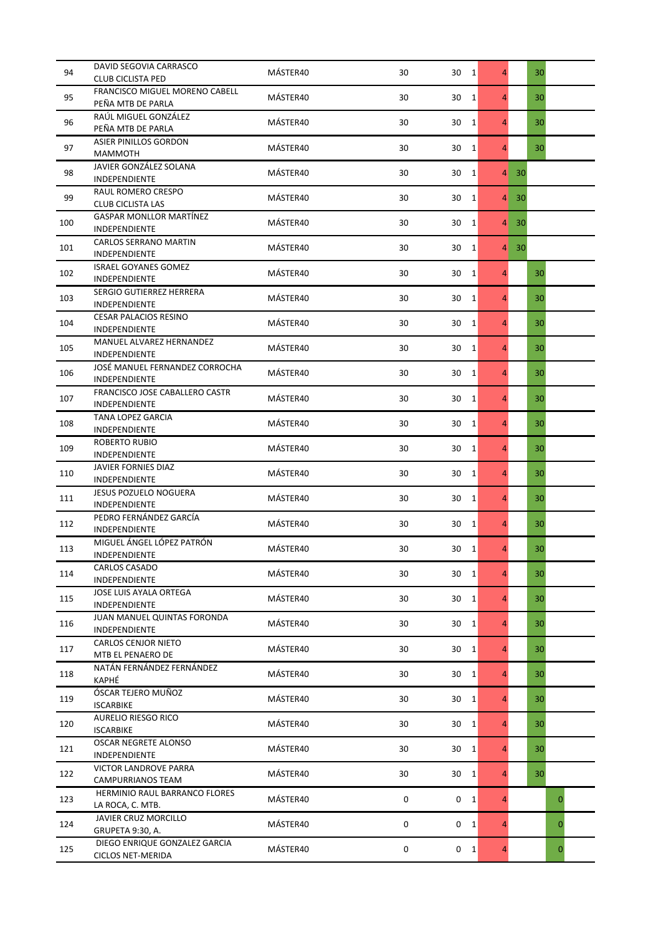| 94  | DAVID SEGOVIA CARRASCO                              | MÁSTER40 | 30 | 30             | 1              | 4              |    | 30 |              |  |
|-----|-----------------------------------------------------|----------|----|----------------|----------------|----------------|----|----|--------------|--|
|     | <b>CLUB CICLISTA PED</b>                            |          |    |                |                |                |    |    |              |  |
| 95  | FRANCISCO MIGUEL MORENO CABELL                      | MÁSTER40 | 30 | 30             | 1              | $\overline{4}$ |    | 30 |              |  |
|     | PEÑA MTB DE PARLA                                   |          |    |                |                |                |    |    |              |  |
| 96  | RAÚL MIGUEL GONZÁLEZ<br>PEÑA MTB DE PARLA           | MÁSTER40 | 30 | 30             | 1              | 4              |    | 30 |              |  |
| 97  | ASIER PINILLOS GORDON<br><b>MAMMOTH</b>             | MÁSTER40 | 30 | 30             | 1              | 4              |    | 30 |              |  |
| 98  | JAVIER GONZÁLEZ SOLANA<br>INDEPENDIENTE             | MÁSTER40 | 30 | 30             | 1              | $\overline{4}$ | 30 |    |              |  |
|     | <b>RAUL ROMERO CRESPO</b>                           |          |    |                |                |                |    |    |              |  |
| 99  | <b>CLUB CICLISTA LAS</b>                            | MÁSTER40 | 30 | 30             | 1              | $\overline{4}$ | 30 |    |              |  |
| 100 | <b>GASPAR MONLLOR MARTÍNEZ</b><br>INDEPENDIENTE     | MÁSTER40 | 30 | 30             | 1              | $\overline{4}$ | 30 |    |              |  |
| 101 | <b>CARLOS SERRANO MARTIN</b>                        | MÁSTER40 | 30 | 30             | 1              | 4              | 30 |    |              |  |
|     | INDEPENDIENTE                                       |          |    |                |                |                |    |    |              |  |
| 102 | <b>ISRAEL GOYANES GOMEZ</b><br><b>INDEPENDIENTE</b> | MÁSTER40 | 30 | 30             | 1              | $\overline{4}$ |    | 30 |              |  |
| 103 | SERGIO GUTIERREZ HERRERA<br><b>INDEPENDIENTE</b>    | MÁSTER40 | 30 | 30             | 1              | $\overline{4}$ |    | 30 |              |  |
| 104 | <b>CESAR PALACIOS RESINO</b>                        | MÁSTER40 | 30 | 30             | 1              | 4              |    | 30 |              |  |
|     | INDEPENDIENTE                                       |          |    |                |                |                |    |    |              |  |
| 105 | MANUEL ALVAREZ HERNANDEZ<br>INDEPENDIENTE           | MÁSTER40 | 30 | 30             | 1              | 4              |    | 30 |              |  |
| 106 | JOSÉ MANUEL FERNANDEZ CORROCHA<br>INDEPENDIENTE     | MÁSTER40 | 30 | 30             | 1              | 4              |    | 30 |              |  |
| 107 | FRANCISCO JOSE CABALLERO CASTR                      | MÁSTER40 | 30 | 30             | 1              | $\overline{4}$ |    | 30 |              |  |
|     | INDEPENDIENTE<br>TANA LOPEZ GARCIA                  |          |    |                |                |                |    |    |              |  |
| 108 | <b>INDEPENDIENTE</b>                                | MÁSTER40 | 30 | 30             | $\mathbf{1}$   | $\overline{4}$ |    | 30 |              |  |
| 109 | <b>ROBERTO RUBIO</b><br><b>INDEPENDIENTE</b>        | MÁSTER40 | 30 | 30             | 1              | 4              |    | 30 |              |  |
| 110 | JAVIER FORNIES DIAZ<br>INDEPENDIENTE                | MÁSTER40 | 30 | 30             | 1              | $\overline{4}$ |    | 30 |              |  |
| 111 | <b>JESUS POZUELO NOGUERA</b>                        | MÁSTER40 | 30 | 30             | 1              | $\overline{4}$ |    | 30 |              |  |
| 112 | <b>INDEPENDIENTE</b><br>PEDRO FERNÁNDEZ GARCÍA      | MÁSTER40 | 30 | 30             | $\mathbf{1}$   | $\overline{4}$ |    | 30 |              |  |
|     | INDEPENDIENTE<br>MIGUEL ÁNGEL LÓPEZ PATRÓN          |          |    |                |                |                |    |    |              |  |
| 113 | INDEPENDIENTE                                       | MÁSTER40 | 30 | 30             | $\overline{1}$ | 4              |    | 30 |              |  |
| 114 | CARLOS CASADO<br>INDEPENDIENTE                      | MÁSTER40 | 30 | 30             | 1              | 4              |    | 30 |              |  |
| 115 | JOSE LUIS AYALA ORTEGA<br>INDEPENDIENTE             | MÁSTER40 | 30 | 30             | $\mathbf{1}$   | $\overline{4}$ |    | 30 |              |  |
| 116 | JUAN MANUEL QUINTAS FORONDA<br><b>INDEPENDIENTE</b> | MÁSTER40 | 30 | 30             | 1              | $\overline{4}$ |    | 30 |              |  |
| 117 | <b>CARLOS CENJOR NIETO</b><br>MTB EL PENAERO DE     | MÁSTER40 | 30 | 30             | $\overline{1}$ | 4              |    | 30 |              |  |
| 118 | NATÁN FERNÁNDEZ FERNÁNDEZ                           | MÁSTER40 | 30 | 30             | 1              | 4              |    | 30 |              |  |
|     | KAPHÉ<br>ÓSCAR TEJERO MUÑOZ                         |          |    |                |                |                |    |    |              |  |
| 119 | <b>ISCARBIKE</b>                                    | MÁSTER40 | 30 | 30             | 1              | $\overline{4}$ |    | 30 |              |  |
| 120 | AURELIO RIESGO RICO<br><b>ISCARBIKE</b>             | MÁSTER40 | 30 | 30             | 1              | $\overline{4}$ |    | 30 |              |  |
| 121 | OSCAR NEGRETE ALONSO<br><b>INDEPENDIENTE</b>        | MÁSTER40 | 30 | 30             | 1              | 4              |    | 30 |              |  |
| 122 | VICTOR LANDROVE PARRA<br>CAMPURRIANOS TEAM          | MÁSTER40 | 30 | 30             | 1              | 4              |    | 30 |              |  |
| 123 | HERMINIO RAUL BARRANCO FLORES                       | MÁSTER40 | 0  | 0              | 1              | 4              |    |    | $\mathbf 0$  |  |
| 124 | LA ROCA, C. MTB.<br>JAVIER CRUZ MORCILLO            | MÁSTER40 | 0  | 0 <sub>1</sub> |                | $\overline{4}$ |    |    | $\mathbf{0}$ |  |
|     | GRUPETA 9:30, A.<br>DIEGO ENRIQUE GONZALEZ GARCIA   |          |    |                |                |                |    |    |              |  |
| 125 | CICLOS NET-MERIDA                                   | MÁSTER40 | 0  | 0 <sub>1</sub> |                | $\overline{4}$ |    |    | $\mathbf 0$  |  |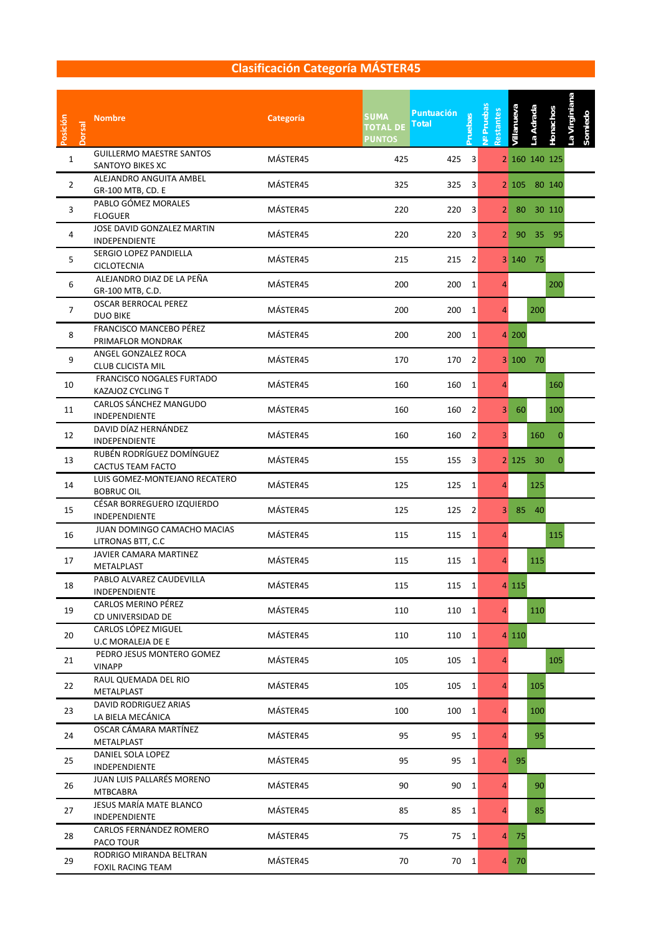| Posición<br><b>Dorsal</b> | <b>Nombre</b>                                         | <b>Categoría</b> | <b>SUMA</b><br><b>TOTAL DE</b><br><b>PUNTOS</b> | <b>Puntuación</b><br><b>Pruebas</b><br><b>Total</b> | Nº Pruebas<br>Restantes | Villanueva | La Adrada     | Honachos     | La Virginiana |
|---------------------------|-------------------------------------------------------|------------------|-------------------------------------------------|-----------------------------------------------------|-------------------------|------------|---------------|--------------|---------------|
| 1                         | <b>GUILLERMO MAESTRE SANTOS</b><br>SANTOYO BIKES XC   | MÁSTER45         | 425                                             | 3<br>425                                            |                         |            | 2 160 140 125 |              |               |
| $\overline{2}$            | ALEJANDRO ANGUITA AMBEL<br>GR-100 MTB, CD. E          | MÁSTER45         | 325                                             | 325<br>3                                            |                         |            | 2 105 80 140  |              |               |
| 3                         | PABLO GÓMEZ MORALES<br><b>FLOGUER</b>                 | MÁSTER45         | 220                                             | 220<br>3                                            | 2 <sup>1</sup>          | 80         |               | 30 110       |               |
| 4                         | JOSE DAVID GONZALEZ MARTIN<br><b>INDEPENDIENTE</b>    | MÁSTER45         | 220                                             | 220<br>3                                            | 2 <sub>l</sub>          | - 90       | 35            | - 95         |               |
| 5                         | SERGIO LOPEZ PANDIELLA<br><b>CICLOTECNIA</b>          | MÁSTER45         | 215                                             | $\overline{2}$<br>215                               |                         | 3 140      | - 75          |              |               |
| 6                         | ALEJANDRO DIAZ DE LA PEÑA<br>GR-100 MTB, C.D.         | MÁSTER45         | 200                                             | 200<br>1                                            | 4                       |            |               | 200          |               |
| $\overline{7}$            | <b>OSCAR BERROCAL PEREZ</b><br><b>DUO BIKE</b>        | MÁSTER45         | 200                                             | 200<br>1                                            | 4                       |            | 200           |              |               |
| 8                         | FRANCISCO MANCEBO PÉREZ<br>PRIMAFLOR MONDRAK          | MÁSTER45         | 200                                             | 200<br>1                                            |                         | 4 200      |               |              |               |
| 9                         | ANGEL GONZALEZ ROCA<br><b>CLUB CLICISTA MIL</b>       | MÁSTER45         | 170                                             | 170<br>$\overline{2}$                               |                         | 3100       | 70            |              |               |
| 10                        | FRANCISCO NOGALES FURTADO<br>KAZAJOZ CYCLING T        | MÁSTER45         | 160                                             | 160<br>1                                            | 4                       |            |               | 160          |               |
| 11                        | CARLOS SÁNCHEZ MANGUDO<br>INDEPENDIENTE               | MÁSTER45         | 160                                             | 160<br>2                                            | 3                       | 60         |               | 100          |               |
| 12                        | DAVID DÍAZ HERNÁNDEZ<br>INDEPENDIENTE                 | MÁSTER45         | 160                                             | 160<br>2                                            | 3                       |            | 160           | $\mathbf 0$  |               |
| 13                        | RUBÉN RODRÍGUEZ DOMÍNGUEZ<br><b>CACTUS TEAM FACTO</b> | MÁSTER45         | 155                                             | 155<br>3                                            |                         | 2 125      | 30            | $\mathbf{0}$ |               |
| 14                        | LUIS GOMEZ-MONTEJANO RECATERO<br><b>BOBRUC OIL</b>    | MÁSTER45         | 125                                             | 125<br>1                                            | 4                       |            | 125           |              |               |
| 15                        | CÉSAR BORREGUERO IZQUIERDO<br>INDEPENDIENTE           | MÁSTER45         | 125                                             | 125<br>$\overline{2}$                               | $\mathbf{3}$            | 85         | 40            |              |               |
| 16                        | JUAN DOMINGO CAMACHO MACIAS<br>LITRONAS BTT, C.C      | MÁSTER45         | 115                                             | 115<br>1                                            | 4                       |            |               | 115          |               |
| 17                        | JAVIER CAMARA MARTINEZ<br>METALPLAST                  | MÁSTER45         | 115                                             | 115<br>1                                            | 4                       |            | 115           |              |               |
| 18                        | PABLO ALVAREZ CAUDEVILLA<br>INDEPENDIENTE             | MÁSTER45         | 115                                             | $\mathbf{1}$<br>115                                 |                         | 4 1 1 5    |               |              |               |
| 19                        | CARLOS MERINO PEREZ<br>CD UNIVERSIDAD DE              | MÁSTER45         | 110                                             | 110 1                                               | $\overline{4}$          |            | 110           |              |               |
| 20                        | CARLOS LÓPEZ MIGUEL<br>U.C MORALEJA DE E              | MÁSTER45         | 110                                             | 110<br>1                                            |                         | 4 1 1 0    |               |              |               |
| 21                        | PEDRO JESUS MONTERO GOMEZ<br><b>VINAPP</b>            | MÁSTER45         | 105                                             | 105<br>$\mathbf{1}$                                 | $\overline{4}$          |            |               | 105          |               |
| 22                        | RAUL QUEMADA DEL RIO<br>METALPLAST                    | MÁSTER45         | 105                                             | 105<br>$\mathbf{1}$                                 | $\overline{4}$          |            | 105           |              |               |
| 23                        | <b>DAVID RODRIGUEZ ARIAS</b><br>LA BIELA MECÁNICA     | MÁSTER45         | 100                                             | 100<br>$\mathbf{1}$                                 | $\overline{4}$          |            | 100           |              |               |
| 24                        | OSCAR CÁMARA MARTÍNEZ<br>METALPLAST                   | MÁSTER45         | 95                                              | 95<br>1                                             | $\overline{4}$          |            | 95            |              |               |
| 25                        | DANIEL SOLA LOPEZ<br><b>INDEPENDIENTE</b>             | MÁSTER45         | 95                                              | 95<br>1                                             |                         | 4 95       |               |              |               |
| 26                        | JUAN LUIS PALLARÉS MORENO<br><b>MTBCABRA</b>          | MÁSTER45         | 90                                              | 90<br>1                                             | $\overline{4}$          |            | 90            |              |               |
| 27                        | JESUS MARÍA MATE BLANCO<br>INDEPENDIENTE              | MÁSTER45         | 85                                              | 85<br>1                                             | 4                       |            | 85            |              |               |
| 28                        | CARLOS FERNÁNDEZ ROMERO<br>PACO TOUR                  | MÁSTER45         | 75                                              | 75<br>1                                             |                         | 4 75       |               |              |               |
| 29                        | RODRIGO MIRANDA BELTRAN<br><b>FOXIL RACING TEAM</b>   | MÁSTER45         | 70                                              | 70<br>1                                             |                         | 4 70       |               |              |               |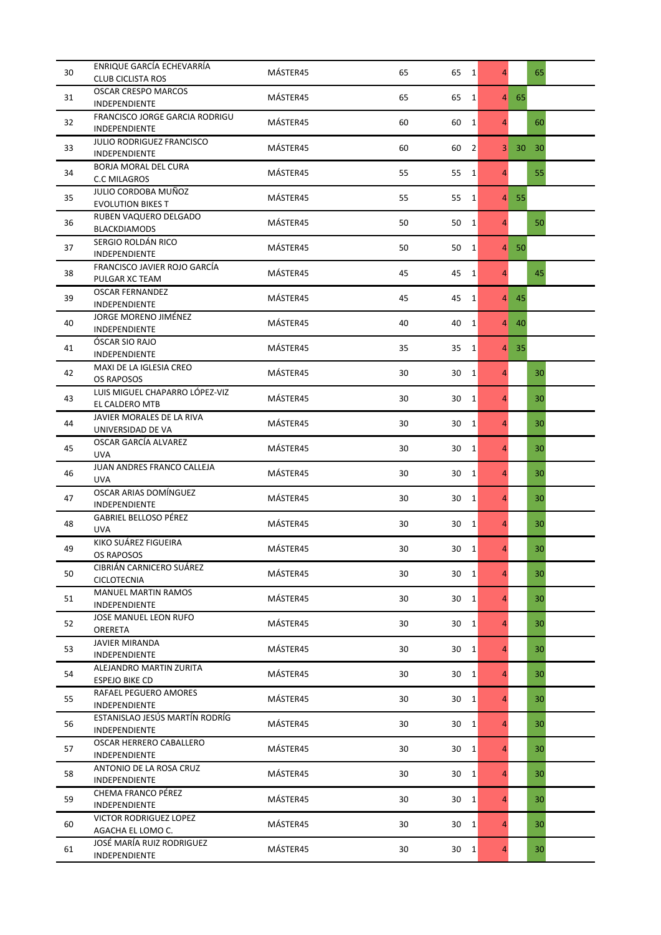| 30 | ENRIQUE GARCÍA ECHEVARRÍA<br><b>CLUB CICLISTA ROS</b>  | MÁSTER45 | 65 | 65<br>$\overline{1}$ | $\overline{4}$ |              | 65 |  |
|----|--------------------------------------------------------|----------|----|----------------------|----------------|--------------|----|--|
|    | <b>OSCAR CRESPO MARCOS</b>                             |          |    |                      |                |              |    |  |
| 31 | INDEPENDIENTE                                          | MÁSTER45 | 65 | 65<br>1              | $\overline{4}$ | 65           |    |  |
| 32 | <b>FRANCISCO JORGE GARCIA RODRIGU</b><br>INDEPENDIENTE | MÁSTER45 | 60 | 60<br>1              | 4              |              | 60 |  |
| 33 | <b>JULIO RODRIGUEZ FRANCISCO</b><br>INDEPENDIENTE      | MÁSTER45 | 60 | $\overline{2}$<br>60 | 3              | 30           | 30 |  |
| 34 | BORJA MORAL DEL CURA<br><b>C.C MILAGROS</b>            | MÁSTER45 | 55 | 55<br>1              | $\overline{4}$ |              | 55 |  |
| 35 | JULIO CORDOBA MUÑOZ                                    | MÁSTER45 | 55 | 55<br>1              | $\overline{4}$ | 55           |    |  |
| 36 | <b>EVOLUTION BIKES T</b><br>RUBEN VAQUERO DELGADO      | MÁSTER45 | 50 | 50<br>1              | $\overline{4}$ |              | 50 |  |
| 37 | <b>BLACKDIAMODS</b><br>SERGIO ROLDÁN RICO              | MÁSTER45 | 50 | 50<br>$\mathbf{1}$   | $\overline{4}$ | 50           |    |  |
| 38 | <b>INDEPENDIENTE</b><br>FRANCISCO JAVIER ROJO GARCÍA   | MÁSTER45 | 45 | 45<br>$\mathbf{1}$   | $\overline{4}$ |              | 45 |  |
| 39 | PULGAR XC TEAM<br><b>OSCAR FERNANDEZ</b>               | MÁSTER45 | 45 | 45<br>1              |                | $4 \quad 45$ |    |  |
|    | <b>INDEPENDIENTE</b><br>JORGE MORENO JIMÉNEZ           |          |    |                      |                |              |    |  |
| 40 | <b>INDEPENDIENTE</b>                                   | MÁSTER45 | 40 | 40<br>1              | $\overline{4}$ | 40           |    |  |
| 41 | ÓSCAR SIO RAJO<br>INDEPENDIENTE                        | MÁSTER45 | 35 | 35<br>1              | $\overline{4}$ | 35           |    |  |
| 42 | MAXI DE LA IGLESIA CREO<br>OS RAPOSOS                  | MÁSTER45 | 30 | 30<br>$\mathbf{1}$   | $\overline{4}$ |              | 30 |  |
| 43 | LUIS MIGUEL CHAPARRO LÓPEZ-VIZ<br>EL CALDERO MTB       | MÁSTER45 | 30 | 30<br>1              | $\overline{4}$ |              | 30 |  |
| 44 | JAVIER MORALES DE LA RIVA<br>UNIVERSIDAD DE VA         | MÁSTER45 | 30 | 30<br>1              | $\overline{4}$ |              | 30 |  |
| 45 | OSCAR GARCÍA ALVAREZ<br><b>UVA</b>                     | MÁSTER45 | 30 | 30<br>1              | 4              |              | 30 |  |
| 46 | JUAN ANDRES FRANCO CALLEJA<br><b>UVA</b>               | MÁSTER45 | 30 | 30<br>1              | $\overline{4}$ |              | 30 |  |
| 47 | OSCAR ARIAS DOMÍNGUEZ<br><b>INDEPENDIENTE</b>          | MÁSTER45 | 30 | 30<br>1              | $\overline{4}$ |              | 30 |  |
| 48 | <b>GABRIEL BELLOSO PÉREZ</b><br><b>UVA</b>             | MÁSTER45 | 30 | 30<br>1              | $\overline{4}$ |              | 30 |  |
| 49 | KIKO SUÁREZ FIGUEIRA<br>OS RAPOSOS                     | MÁSTER45 | 30 | 30<br>1              | 4              |              | 30 |  |
| 50 | CIBRIAN CARNICERO SUAREZ<br><b>CICLOTECNIA</b>         | MÁSTER45 | 30 | 30<br>$\overline{1}$ | $\overline{4}$ |              | 30 |  |
| 51 | <b>MANUEL MARTIN RAMOS</b><br><b>INDEPENDIENTE</b>     | MÁSTER45 | 30 | 30<br>1              | $\overline{4}$ |              | 30 |  |
| 52 | JOSE MANUEL LEON RUFO<br>ORERETA                       | MÁSTER45 | 30 | 30<br>1              | $\overline{4}$ |              | 30 |  |
| 53 | <b>JAVIER MIRANDA</b><br>INDEPENDIENTE                 | MÁSTER45 | 30 | 30<br>1              | 4              |              | 30 |  |
| 54 | ALEJANDRO MARTIN ZURITA<br><b>ESPEJO BIKE CD</b>       | MÁSTER45 | 30 | 30<br>1              | $\overline{4}$ |              | 30 |  |
| 55 | RAFAEL PEGUERO AMORES<br>INDEPENDIENTE                 | MÁSTER45 | 30 | 30<br>1              | $\overline{4}$ |              | 30 |  |
| 56 | ESTANISLAO JESÚS MARTÍN RODRÍG<br>INDEPENDIENTE        | MÁSTER45 | 30 | 30<br>1              | $\overline{4}$ |              | 30 |  |
| 57 | OSCAR HERRERO CABALLERO<br>INDEPENDIENTE               | MÁSTER45 | 30 | 30<br>1              | $\overline{4}$ |              | 30 |  |
| 58 | ANTONIO DE LA ROSA CRUZ<br>INDEPENDIENTE               | MÁSTER45 | 30 | 30<br>1              | $\overline{4}$ |              | 30 |  |
| 59 | CHEMA FRANCO PÉREZ<br>INDEPENDIENTE                    | MÁSTER45 | 30 | 30<br>1              | $\overline{4}$ |              | 30 |  |
| 60 | VICTOR RODRIGUEZ LOPEZ<br>AGACHA EL LOMO C.            | MÁSTER45 | 30 | 30<br>1              | $\overline{4}$ |              | 30 |  |
| 61 | JOSÉ MARÍA RUIZ RODRIGUEZ<br>INDEPENDIENTE             | MÁSTER45 | 30 | 30 1                 | $\overline{4}$ |              | 30 |  |
|    |                                                        |          |    |                      |                |              |    |  |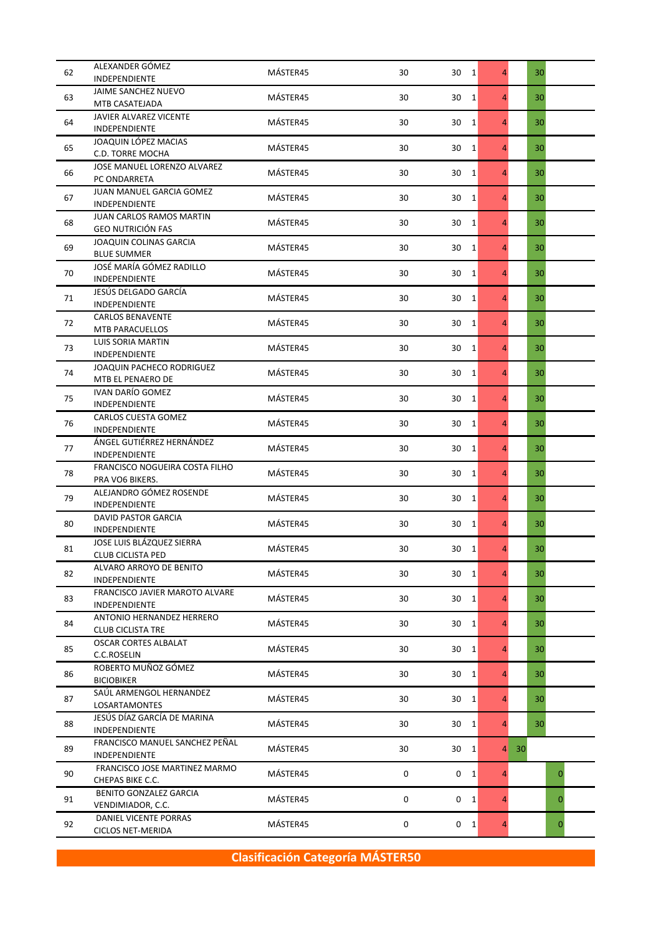| 62 | ALEXANDER GÓMEZ<br>INDEPENDIENTE                            | MÁSTER45 | 30 | 30 1               | $\overline{4}$ |    | 30           |
|----|-------------------------------------------------------------|----------|----|--------------------|----------------|----|--------------|
| 63 | JAIME SANCHEZ NUEVO<br>MTB CASATEJADA                       | MÁSTER45 | 30 | 30<br>$\mathbf{1}$ | $\overline{4}$ |    | 30           |
| 64 | JAVIER ALVAREZ VICENTE<br>INDEPENDIENTE                     | MÁSTER45 | 30 | 30<br>1            | 4              |    | 30           |
| 65 | JOAQUIN LÓPEZ MACIAS<br>C.D. TORRE MOCHA                    | MÁSTER45 | 30 | 30<br>1            | 4              |    | 30           |
| 66 | JOSE MANUEL LORENZO ALVAREZ<br>PC ONDARRETA                 | MÁSTER45 | 30 | 30<br>1            | $\overline{4}$ |    | 30           |
| 67 | JUAN MANUEL GARCIA GOMEZ<br><b>INDEPENDIENTE</b>            | MÁSTER45 | 30 | 30<br>1            | $\overline{4}$ |    | 30           |
| 68 | <b>JUAN CARLOS RAMOS MARTIN</b><br><b>GEO NUTRICIÓN FAS</b> | MÁSTER45 | 30 | 30<br>1            | 4              |    | 30           |
| 69 | <b>JOAQUIN COLINAS GARCIA</b><br><b>BLUE SUMMER</b>         | MÁSTER45 | 30 | 30<br>1            | 4              |    | 30           |
| 70 | JOSÉ MARÍA GÓMEZ RADILLO<br><b>INDEPENDIENTE</b>            | MÁSTER45 | 30 | 30<br>1            | $\overline{4}$ |    | 30           |
| 71 | JESÚS DELGADO GARCÍA<br><b>INDEPENDIENTE</b>                | MÁSTER45 | 30 | 30<br>1            | $\overline{4}$ |    | 30           |
| 72 | <b>CARLOS BENAVENTE</b><br><b>MTB PARACUELLOS</b>           | MÁSTER45 | 30 | 30<br>1            | 4              |    | 30           |
| 73 | <b>LUIS SORIA MARTIN</b><br>INDEPENDIENTE                   | MÁSTER45 | 30 | 30<br>1            | 4              |    | 30           |
| 74 | JOAQUIN PACHECO RODRIGUEZ<br>MTB EL PENAERO DE              | MÁSTER45 | 30 | 30<br>1            | $\overline{4}$ |    | 30           |
| 75 | <b>IVAN DARÍO GOMEZ</b><br>INDEPENDIENTE                    | MÁSTER45 | 30 | 30<br>1            | $\overline{4}$ |    | 30           |
| 76 | CARLOS CUESTA GOMEZ<br>INDEPENDIENTE                        | MÁSTER45 | 30 | 1<br>30            | $\overline{4}$ |    | 30           |
| 77 | ÁNGEL GUTIÉRREZ HERNÁNDEZ<br>INDEPENDIENTE                  | MÁSTER45 | 30 | 30<br>1            | 4              |    | 30           |
| 78 | FRANCISCO NOGUEIRA COSTA FILHO<br>PRA VO6 BIKERS.           | MÁSTER45 | 30 | 30<br>1            | $\overline{4}$ |    | 30           |
| 79 | ALEJANDRO GÓMEZ ROSENDE<br><b>INDEPENDIENTE</b>             | MÁSTER45 | 30 | 30<br>1            | $\overline{4}$ |    | 30           |
| 80 | DAVID PASTOR GARCIA<br><b>INDEPENDIENTE</b>                 | MÁSTER45 | 30 | 30<br>1            | $\overline{4}$ |    | 30           |
| 81 | JOSE LUIS BLÁZQUEZ SIERRA<br><b>CLUB CICLISTA PED</b>       | MÁSTER45 | 30 | 30<br>1            | 4              |    | 30           |
| 82 | ALVARO ARROYO DE BENITO<br>INDEPENDIENTE                    | MÁSTER45 | 30 | 30<br>1            | $\overline{4}$ |    | 30           |
| 83 | FRANCISCO JAVIER MAROTO ALVARE<br><b>INDEPENDIENTE</b>      | MÁSTER45 | 30 | 30<br>1            | $\overline{4}$ |    | 30           |
| 84 | ANTONIO HERNANDEZ HERRERO<br><b>CLUB CICLISTA TRE</b>       | MÁSTER45 | 30 | 30<br>$\mathbf{1}$ | $\overline{4}$ |    | 30           |
| 85 | <b>OSCAR CORTES ALBALAT</b><br>C.C.ROSELIN                  | MÁSTER45 | 30 | 30<br>1            | 4              |    | 30           |
| 86 | ROBERTO MUÑOZ GÓMEZ<br><b>BICIOBIKER</b>                    | MÁSTER45 | 30 | 30<br>1            | $\overline{4}$ |    | 30           |
| 87 | SAÚL ARMENGOL HERNANDEZ<br><b>LOSARTAMONTES</b>             | MÁSTER45 | 30 | 30<br>$\mathbf{1}$ | $\overline{4}$ |    | 30           |
| 88 | JESÚS DÍAZ GARCÍA DE MARINA<br>INDEPENDIENTE                | MÁSTER45 | 30 | 30<br>1            | $\overline{4}$ |    | 30           |
| 89 | FRANCISCO MANUEL SANCHEZ PEÑAL<br>INDEPENDIENTE             | MÁSTER45 | 30 | 30<br>$\vert$ 1    | $\overline{4}$ | 30 |              |
| 90 | FRANCISCO JOSE MARTINEZ MARMO<br>CHEPAS BIKE C.C.           | MÁSTER45 | 0  | 0<br>1             | 4              |    | $\mathbf{0}$ |
| 91 | BENITO GONZALEZ GARCIA<br>VENDIMIADOR, C.C.                 | MÁSTER45 | 0  | $0\quad 1$         | $\overline{4}$ |    | $\mathbf 0$  |
| 92 | DANIEL VICENTE PORRAS<br><b>CICLOS NET-MERIDA</b>           | MÁSTER45 | 0  | $0 \quad 1$        | $\overline{4}$ |    | $\mathbf{0}$ |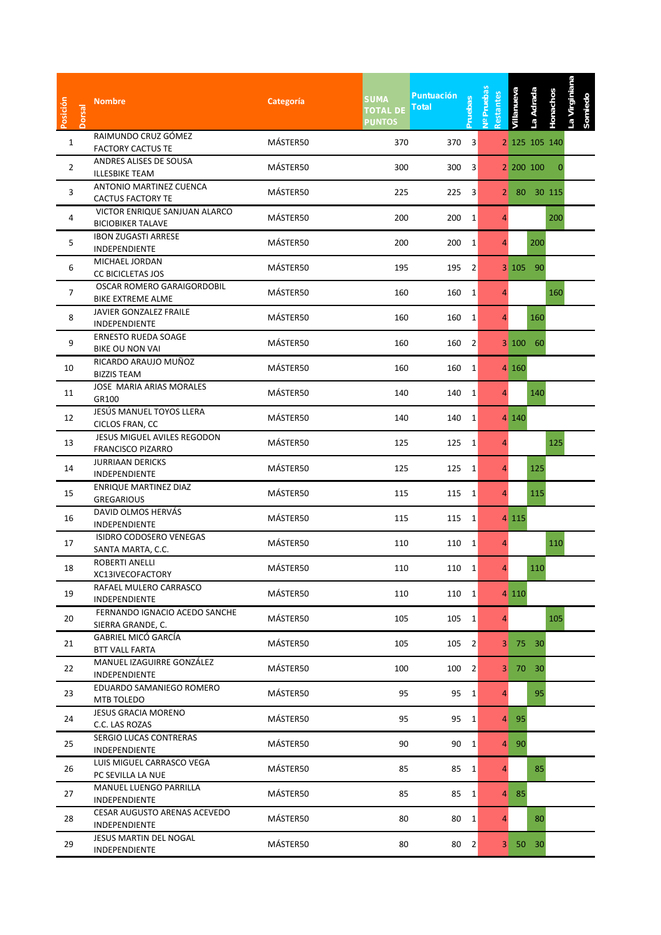| Posición<br><b>Dorsal</b> | <b>Nombre</b>                                             | Categoría | <b>SUMA</b><br><b>TOTAL DE</b><br><b>PUNTOS</b> | <b>Puntuación</b><br><b>Pruebas</b><br><b>Total</b> | <b>Pruebas</b><br>$\frac{1}{2}$ | Restantes      | Villanueva      | La Adrada       | La Virginiana<br>Honachos<br>Somiedc |  |
|---------------------------|-----------------------------------------------------------|-----------|-------------------------------------------------|-----------------------------------------------------|---------------------------------|----------------|-----------------|-----------------|--------------------------------------|--|
| $\mathbf{1}$              | RAIMUNDO CRUZ GÓMEZ                                       | MÁSTER50  | 370                                             | 370                                                 | 3                               |                |                 | 2 125 105 140   |                                      |  |
|                           | <b>FACTORY CACTUS TE</b><br>ANDRES ALISES DE SOUSA        |           |                                                 |                                                     |                                 |                |                 |                 |                                      |  |
| $\overline{2}$            | <b>ILLESBIKE TEAM</b>                                     | MÁSTER50  | 300                                             | 300                                                 | 3                               |                | 2 200 100       |                 | 0                                    |  |
|                           | ANTONIO MARTINEZ CUENCA                                   |           |                                                 |                                                     |                                 |                |                 |                 |                                      |  |
| 3                         | <b>CACTUS FACTORY TE</b>                                  | MÁSTER50  | 225                                             | 225                                                 | 3                               | 2 <sup>1</sup> | 80              | 30 115          |                                      |  |
| 4                         | VICTOR ENRIQUE SANJUAN ALARCO<br><b>BICIOBIKER TALAVE</b> | MÁSTER50  | 200                                             | 200                                                 | 1                               | 4              |                 |                 | 200                                  |  |
| 5                         | <b>IBON ZUGASTI ARRESE</b><br><b>INDEPENDIENTE</b>        | MÁSTER50  | 200                                             | 200                                                 | 1                               | 4              |                 | 200             |                                      |  |
| 6                         | MICHAEL JORDAN<br><b>CC BICICLETAS JOS</b>                | MÁSTER50  | 195                                             | 195                                                 | 2                               |                | $3 \; 105$      | 90              |                                      |  |
| $\overline{7}$            | OSCAR ROMERO GARAIGORDOBIL<br><b>BIKE EXTREME ALME</b>    | MÁSTER50  | 160                                             | 160                                                 | 1                               | 4              |                 |                 | 160                                  |  |
| 8                         | JAVIER GONZALEZ FRAILE<br><b>INDEPENDIENTE</b>            | MÁSTER50  | 160                                             | 160                                                 | 1                               | 4              |                 | 160             |                                      |  |
| 9                         | <b>ERNESTO RUEDA SOAGE</b><br><b>BIKE OU NON VAI</b>      | MÁSTER50  | 160                                             | 160                                                 | 2                               |                | 3 100           | 60              |                                      |  |
| 10                        | RICARDO ARAUJO MUÑOZ<br><b>BIZZIS TEAM</b>                | MÁSTER50  | 160                                             | 160                                                 | 1                               |                | 4 160           |                 |                                      |  |
| 11                        | <b>JOSE MARIA ARIAS MORALES</b><br>GR100                  | MÁSTER50  | 140                                             | 140                                                 | 1                               | 4              |                 | 140             |                                      |  |
| 12                        | JESÚS MANUEL TOYOS LLERA<br>CICLOS FRAN, CC               | MÁSTER50  | 140                                             | 140                                                 | 1                               |                | 4 140           |                 |                                      |  |
| 13                        | JESUS MIGUEL AVILES REGODON                               | MÁSTER50  | 125                                             | 125                                                 | 1                               | 4              |                 |                 | 125                                  |  |
|                           | <b>FRANCISCO PIZARRO</b><br><b>JURRIAAN DERICKS</b>       |           |                                                 |                                                     |                                 |                |                 |                 |                                      |  |
| 14                        | INDEPENDIENTE                                             | MÁSTER50  | 125                                             | 125                                                 | 1                               | 4              |                 | 125             |                                      |  |
| 15                        | ENRIQUE MARTINEZ DIAZ<br><b>GREGARIOUS</b>                | MÁSTER50  | 115                                             | 115                                                 | 1                               | 4              |                 | 115             |                                      |  |
| 16                        | DAVID OLMOS HERVÁS<br>INDEPENDIENTE                       | MÁSTER50  | 115                                             | 115                                                 | 1                               |                | 4 1 1 5         |                 |                                      |  |
| 17                        | ISIDRO CODOSERO VENEGAS<br>SANTA MARTA, C.C.              | MÁSTER50  | 110                                             | 110                                                 | 1                               | 4              |                 |                 | 110                                  |  |
| 18                        | ROBERTI ANELLI<br>XC13IVECOFACTORY                        | MÁSTER50  | 110                                             | 110                                                 | $\overline{1}$                  | 4              |                 | 110             |                                      |  |
| 19                        | RAFAEL MULERO CARRASCO<br><b>INDEPENDIENTE</b>            | MÁSTER50  | 110                                             | 110 1                                               |                                 |                | 4 1 1 0         |                 |                                      |  |
| 20                        | FERNANDO IGNACIO ACEDO SANCHE<br>SIERRA GRANDE, C.        | MÁSTER50  | 105                                             | 105                                                 | $\vert$ 1                       | $\overline{4}$ |                 |                 | 105                                  |  |
| 21                        | GABRIEL MICÓ GARCÍA<br><b>BTT VALL FARTA</b>              | MÁSTER50  | 105                                             | 105                                                 | $\overline{2}$                  |                | 3 75 30         |                 |                                      |  |
| 22                        | MANUEL IZAGUIRRE GONZÁLEZ<br><b>INDEPENDIENTE</b>         | MÁSTER50  | 100                                             | 100                                                 | 2                               |                | 3 70 30         |                 |                                      |  |
| 23                        | EDUARDO SAMANIEGO ROMERO<br>MTB TOLEDO                    | MÁSTER50  | 95                                              | 95                                                  | $\mathbf{1}$                    | 4              |                 | 95              |                                      |  |
| 24                        | <b>JESUS GRACIA MORENO</b><br>C.C. LAS ROZAS              | MÁSTER50  | 95                                              | 95                                                  | $\mathbf{1}$                    |                | 4 95            |                 |                                      |  |
| 25                        | SERGIO LUCAS CONTRERAS<br>INDEPENDIENTE                   | MÁSTER50  | 90                                              | 90                                                  | $\mathbf{1}$                    | $\overline{4}$ | 90              |                 |                                      |  |
| 26                        | LUIS MIGUEL CARRASCO VEGA<br>PC SEVILLA LA NUE            | MÁSTER50  | 85                                              | 85                                                  | $\mathbf{1}$                    | 4              |                 | 85              |                                      |  |
| 27                        | MANUEL LUENGO PARRILLA<br>INDEPENDIENTE                   | MÁSTER50  | 85                                              | 85                                                  | 1                               | 4              | 85              |                 |                                      |  |
| 28                        | CESAR AUGUSTO ARENAS ACEVEDO<br>INDEPENDIENTE             | MÁSTER50  | 80                                              | 80                                                  | 1                               | $\overline{4}$ |                 | 80              |                                      |  |
| 29                        | JESUS MARTIN DEL NOGAL<br>INDEPENDIENTE                   | MÁSTER50  | 80                                              | 80                                                  | $\overline{2}$                  | 3 <sup>1</sup> | 50 <sub>1</sub> | 30 <sup>°</sup> |                                      |  |
|                           |                                                           |           |                                                 |                                                     |                                 |                |                 |                 |                                      |  |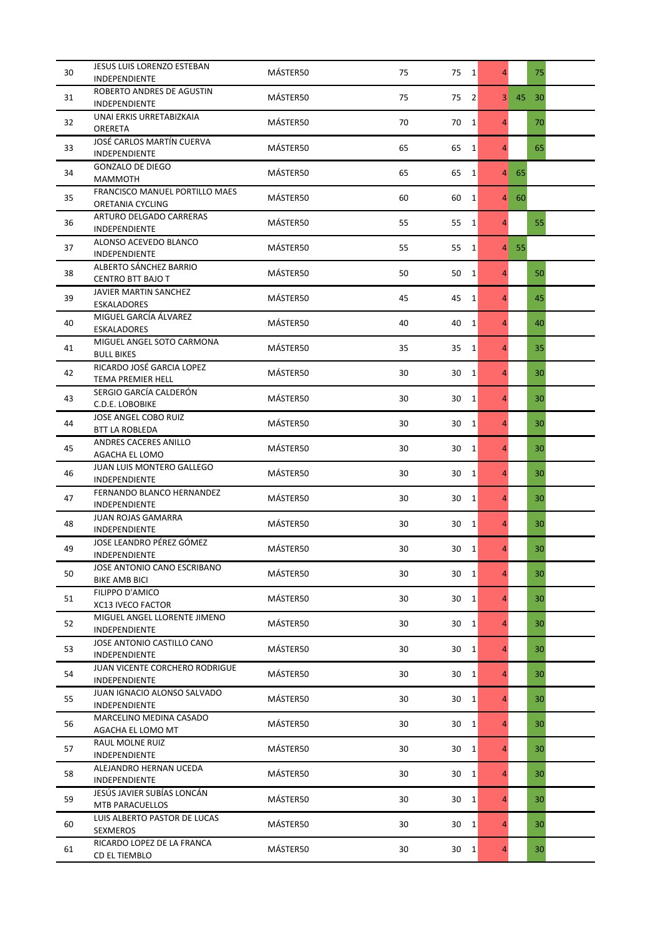| 30 | JESUS LUIS LORENZO ESTEBAN                               | MÁSTER50 | 75 | 75<br>$\vert$ 1      | 4              |    | 75 |  |
|----|----------------------------------------------------------|----------|----|----------------------|----------------|----|----|--|
|    | INDEPENDIENTE                                            |          |    |                      |                |    |    |  |
| 31 | ROBERTO ANDRES DE AGUSTIN<br>INDEPENDIENTE               | MÁSTER50 | 75 | 75<br>$\overline{2}$ | 3 <sup>1</sup> | 45 | 30 |  |
|    | UNAI ERKIS URRETABIZKAIA                                 |          |    |                      |                |    |    |  |
| 32 | ORERETA                                                  | MÁSTER50 | 70 | 70<br>$\overline{1}$ | 4              |    | 70 |  |
|    | JOSÉ CARLOS MARTÍN CUERVA                                | MÁSTER50 |    |                      |                |    | 65 |  |
| 33 | INDEPENDIENTE                                            |          | 65 | 65<br>1              | 4              |    |    |  |
| 34 | <b>GONZALO DE DIEGO</b>                                  | MÁSTER50 | 65 | 65<br>1              | $\overline{4}$ | 65 |    |  |
|    | <b>MAMMOTH</b>                                           |          |    |                      |                |    |    |  |
| 35 | FRANCISCO MANUEL PORTILLO MAES<br>ORETANIA CYCLING       | MÁSTER50 | 60 | 60<br>$\vert$ 1      | 4              | 60 |    |  |
|    | ARTURO DELGADO CARRERAS                                  |          |    |                      |                |    |    |  |
| 36 | INDEPENDIENTE                                            | MÁSTER50 | 55 | 55<br>$\vert$ 1      | 4              |    | 55 |  |
| 37 | ALONSO ACEVEDO BLANCO                                    | MÁSTER50 | 55 | 55<br>1              | 4              | 55 |    |  |
|    | INDEPENDIENTE                                            |          |    |                      |                |    |    |  |
| 38 | ALBERTO SÁNCHEZ BARRIO<br><b>CENTRO BTT BAJO T</b>       | MÁSTER50 | 50 | 50<br>$\vert$ 1      | 4              |    | 50 |  |
|    | JAVIER MARTIN SANCHEZ                                    |          |    |                      |                |    |    |  |
| 39 | <b>ESKALADORES</b>                                       | MÁSTER50 | 45 | 45<br>$\vert$ 1      | 4              |    | 45 |  |
|    | MIGUEL GARCÍA ÁLVAREZ                                    | MÁSTER50 |    | 1                    | 4              |    | 40 |  |
| 40 | <b>ESKALADORES</b>                                       |          | 40 | 40                   |                |    |    |  |
| 41 | MIGUEL ANGEL SOTO CARMONA                                | MÁSTER50 | 35 | 35<br>$\vert$ 1      | 4              |    | 35 |  |
|    | <b>BULL BIKES</b><br>RICARDO JOSÉ GARCIA LOPEZ           |          |    |                      |                |    |    |  |
| 42 | TEMA PREMIER HELL                                        | MÁSTER50 | 30 | 30<br>1              | 4              |    | 30 |  |
|    | SERGIO GARCÍA CALDERÓN                                   |          |    |                      |                |    |    |  |
| 43 | C.D.E. LOBOBIKE                                          | MÁSTER50 | 30 | 30<br>1              | 4              |    | 30 |  |
| 44 | JOSE ANGEL COBO RUIZ                                     | MÁSTER50 | 30 | 30<br>$\vert$ 1      | 4              |    | 30 |  |
|    | <b>BTT LA ROBLEDA</b>                                    |          |    |                      |                |    |    |  |
| 45 | ANDRES CACERES ANILLO<br>AGACHA EL LOMO                  | MÁSTER50 | 30 | 30<br>$\vert$ 1      | 4              |    | 30 |  |
|    | JUAN LUIS MONTERO GALLEGO                                |          |    |                      |                |    |    |  |
| 46 | INDEPENDIENTE                                            | MÁSTER50 | 30 | 30<br>1              | 4              |    | 30 |  |
| 47 | FERNANDO BLANCO HERNANDEZ                                | MÁSTER50 | 30 | 30<br>$\vert$ 1      | 4              |    | 30 |  |
|    | <b>INDEPENDIENTE</b>                                     |          |    |                      |                |    |    |  |
| 48 | <b>JUAN ROJAS GAMARRA</b><br><b>INDEPENDIENTE</b>        | MÁSTER50 | 30 | 30<br>1              | 4              |    | 30 |  |
|    | JOSE LEANDRO PÉREZ GÓMEZ                                 |          |    |                      |                |    |    |  |
| 49 | INDEPENDIENTE                                            | MÁSTER50 | 30 | 30<br>$\overline{1}$ | 4              |    | 30 |  |
|    | JOSE ANTONIO CANO ESCRIBANO                              | MÁSTER50 | 30 | 30<br>1              | 4              |    | 30 |  |
| 50 | <b>BIKE AMB BICI</b>                                     |          |    |                      |                |    |    |  |
| 51 | FILIPPO D'AMICO                                          | MÁSTER50 | 30 | 30<br>$\vert$ 1      | 4              |    | 30 |  |
|    | <b>XC13 IVECO FACTOR</b><br>MIGUEL ANGEL LLORENTE JIMENO |          |    |                      |                |    |    |  |
| 52 | INDEPENDIENTE                                            | MÁSTER50 | 30 | 30<br>$\mathbf{1}$   | 4              |    | 30 |  |
|    | JOSE ANTONIO CASTILLO CANO                               |          |    |                      |                |    |    |  |
| 53 | INDEPENDIENTE                                            | MÁSTER50 | 30 | 30<br>$\vert$ 1      | 4              |    | 30 |  |
| 54 | <b>JUAN VICENTE CORCHERO RODRIGUE</b>                    | MÁSTER50 | 30 | 30<br>1              | 4              |    | 30 |  |
|    | INDEPENDIENTE                                            |          |    |                      |                |    |    |  |
| 55 | JUAN IGNACIO ALONSO SALVADO<br>INDEPENDIENTE             | MÁSTER50 | 30 | 30<br>$\vert$ 1      | 4              |    | 30 |  |
|    | MARCELINO MEDINA CASADO                                  |          |    |                      |                |    |    |  |
| 56 | AGACHA EL LOMO MT                                        | MÁSTER50 | 30 | 30<br>$\vert$ 1      | 4              |    | 30 |  |
| 57 | RAUL MOLNE RUIZ                                          | MÁSTER50 | 30 | 30<br>$\vert$ 1      | 4              |    | 30 |  |
|    | INDEPENDIENTE                                            |          |    |                      |                |    |    |  |
| 58 | ALEJANDRO HERNAN UCEDA                                   | MÁSTER50 | 30 | 30<br>$\vert$ 1      | 4              |    | 30 |  |
|    | INDEPENDIENTE<br>JESÚS JAVIER SUBÍAS LONCÁN              |          |    |                      |                |    |    |  |
| 59 | MTB PARACUELLOS                                          | MÁSTER50 | 30 | 30<br>$\vert$ 1      | 4              |    | 30 |  |
|    | LUIS ALBERTO PASTOR DE LUCAS                             | MÁSTER50 | 30 |                      | 4              |    | 30 |  |
| 60 | SEXMEROS                                                 |          |    | 30<br>$\vert$ 1      |                |    |    |  |
| 61 | RICARDO LOPEZ DE LA FRANCA                               | MÁSTER50 | 30 | $30 \quad 1$         | 4              |    | 30 |  |
|    | CD EL TIEMBLO                                            |          |    |                      |                |    |    |  |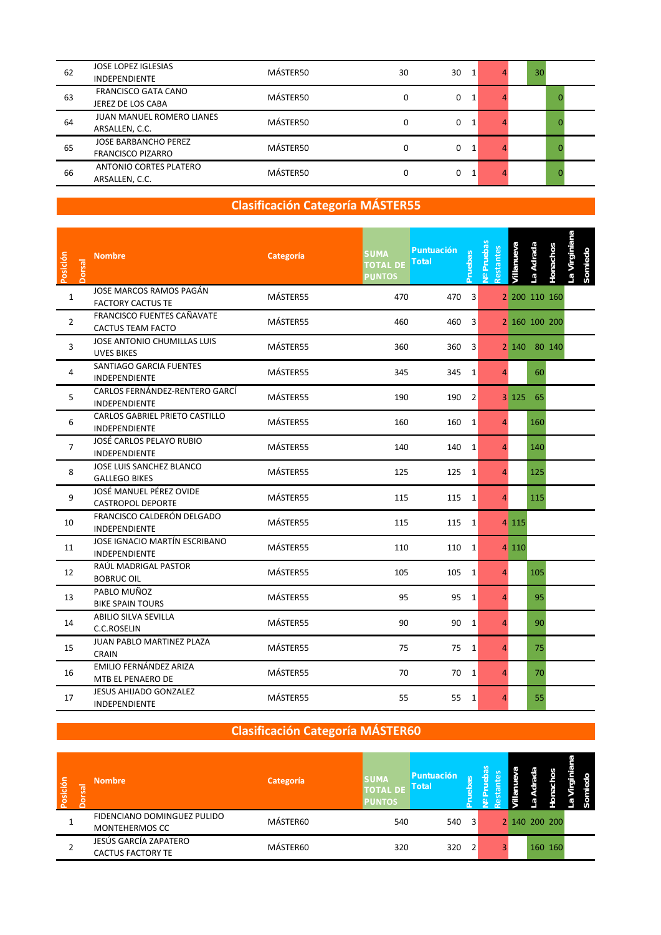| 62 | <b>JOSE LOPEZ IGLESIAS</b><br><b>INDEPENDIENTE</b>      | MÁSTER50 | 30 | 30 | 30 |  |
|----|---------------------------------------------------------|----------|----|----|----|--|
| 63 | FRANCISCO GATA CANO<br>JEREZ DE LOS CABA                | MÁSTER50 | 0  | 0  |    |  |
| 64 | <b>JUAN MANUEL ROMERO LIANES</b><br>ARSALLEN, C.C.      | MÁSTER50 | 0  | 0  |    |  |
| 65 | <b>JOSE BARBANCHO PEREZ</b><br><b>FRANCISCO PIZARRO</b> | MÁSTER50 | 0  | 0  |    |  |
| 66 | ANTONIO CORTES PLATERO<br>ARSALLEN, C.C.                | MÁSTER50 | 0  | 0  |    |  |

| Posición       | <b>Dorsal</b> | <b>Nombre</b>                                           | Categoría | <b>SUMA</b><br><b>Total</b><br><b>TOTAL DE</b><br><b>PUNTOS</b> | <b>Puntuación</b><br>Pruebas | <b>The Pruebas</b><br>estantes | /illanueva | La Adrada | Honachos      | a Virginiana |  |
|----------------|---------------|---------------------------------------------------------|-----------|-----------------------------------------------------------------|------------------------------|--------------------------------|------------|-----------|---------------|--------------|--|
| $\mathbf{1}$   |               | JOSE MARCOS RAMOS PAGÁN<br><b>FACTORY CACTUS TE</b>     | MÁSTER55  | 470                                                             | 470<br>3                     |                                |            |           | 2 200 110 160 |              |  |
| $\overline{2}$ |               | <b>FRANCISCO FUENTES CAÑAVATE</b><br>CACTUS TEAM FACTO  | MÁSTER55  | 460                                                             | 460<br>3                     |                                |            |           | 2 160 100 200 |              |  |
| 3              |               | <b>JOSE ANTONIO CHUMILLAS LUIS</b><br><b>UVES BIKES</b> | MÁSTER55  | 360                                                             | 360<br>3                     |                                | 2 140      |           | 80 140        |              |  |
| 4              |               | SANTIAGO GARCIA FUENTES<br>INDEPENDIENTE                | MÁSTER55  | 345                                                             | 345<br>$\mathbf{1}$          | 4                              |            | 60        |               |              |  |
| 5              |               | CARLOS FERNÁNDEZ-RENTERO GARCÍ<br><b>INDEPENDIENTE</b>  | MÁSTER55  | 190                                                             | $\overline{2}$<br>190        |                                | 3125       | 65        |               |              |  |
| 6              |               | CARLOS GABRIEL PRIETO CASTILLO<br><b>INDEPENDIENTE</b>  | MÁSTER55  | 160                                                             | 160<br>$\mathbf{1}$          | 4                              |            | 160       |               |              |  |
| $\overline{7}$ |               | JOSÉ CARLOS PELAYO RUBIO<br>INDEPENDIENTE               | MÁSTER55  | 140                                                             | 140<br>1                     | 4                              |            | 140       |               |              |  |
| 8              |               | JOSE LUIS SANCHEZ BLANCO<br><b>GALLEGO BIKES</b>        | MÁSTER55  | 125                                                             | 125<br>1                     | 4                              |            | 125       |               |              |  |
| 9              |               | JOSÉ MANUEL PÉREZ OVIDE<br>CASTROPOL DEPORTE            | MÁSTER55  | 115                                                             | 115<br>1                     | 4                              |            | 115       |               |              |  |
| 10             |               | FRANCISCO CALDERÓN DELGADO<br><b>INDEPENDIENTE</b>      | MÁSTER55  | 115                                                             | 115<br>1                     |                                | 4 1 1 5    |           |               |              |  |
| 11             |               | JOSE IGNACIO MARTÍN ESCRIBANO<br><b>INDEPENDIENTE</b>   | MÁSTER55  | 110                                                             | 110<br>1                     |                                | 4 1 1 0    |           |               |              |  |
| 12             |               | RAÚL MADRIGAL PASTOR<br><b>BOBRUC OIL</b>               | MÁSTER55  | 105                                                             | 105<br>$\mathbf{1}$          | 4                              |            | 105       |               |              |  |
| 13             |               | PABLO MUÑOZ<br><b>BIKE SPAIN TOURS</b>                  | MÁSTER55  | 95                                                              | 95<br>$\mathbf{1}$           | $\overline{4}$                 |            | 95        |               |              |  |
| 14             |               | ABILIO SILVA SEVILLA<br><b>C.C.ROSELIN</b>              | MÁSTER55  | 90                                                              | 90<br>$\mathbf{1}$           | $\overline{4}$                 |            | 90        |               |              |  |
| 15             |               | JUAN PABLO MARTINEZ PLAZA<br><b>CRAIN</b>               | MÁSTER55  | 75                                                              | 75<br>1                      | 4                              |            | 75        |               |              |  |
| 16             |               | EMILIO FERNÁNDEZ ARIZA<br>MTB EL PENAERO DE             | MÁSTER55  | 70                                                              | 70<br>1                      | 4                              |            | 70        |               |              |  |
| 17             |               | JESUS AHIJADO GONZALEZ<br>INDEPENDIENTE                 | MÁSTER55  | 55                                                              | 55<br>$\mathbf{1}$           | 4                              |            | 55        |               |              |  |

| Posición | Dorsal | <b>Nombre</b>                                        | Categoría | <b>SUMA</b><br>TOTAL DE Total<br><b>PUNTOS</b> | Puntuación |                | S | S             |         |  |
|----------|--------|------------------------------------------------------|-----------|------------------------------------------------|------------|----------------|---|---------------|---------|--|
|          |        | FIDENCIANO DOMINGUEZ PULIDO<br><b>MONTEHERMOS CC</b> | MÁSTER60  | 540                                            | 540        | 3              |   | 2 140 200 200 |         |  |
|          |        | JESÚS GARCÍA ZAPATERO<br><b>CACTUS FACTORY TE</b>    | MÁSTER60  | 320                                            | 320        | $\overline{2}$ |   |               | 160 160 |  |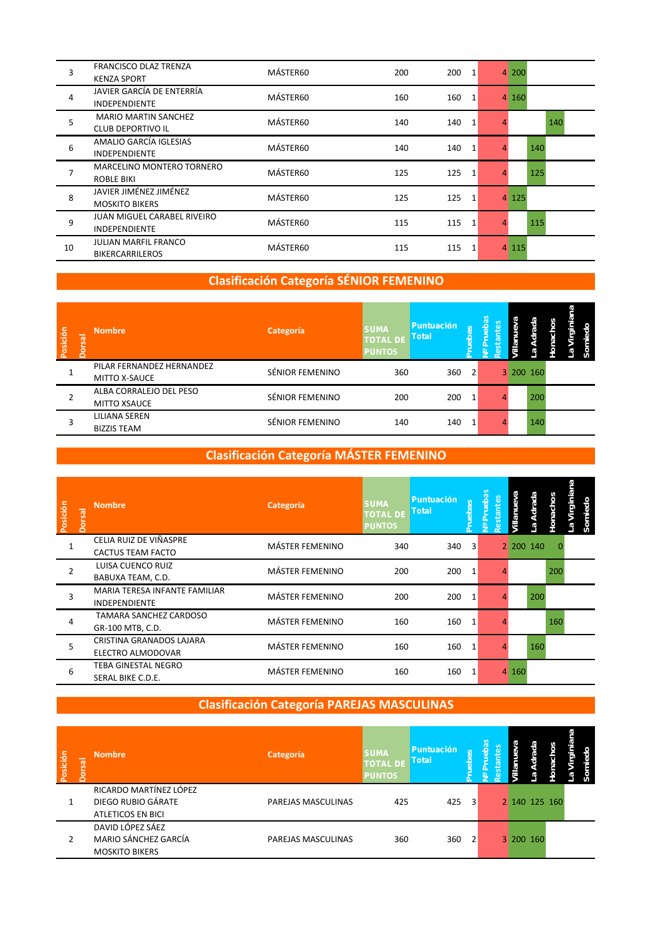| 3  | FRANCISCO DLAZ TRENZA<br><b>KENZA SPORT</b>                | MÁSTER60 | 200 | 200<br>$\mathbf{1}$   |   | 4 200   |     |     |
|----|------------------------------------------------------------|----------|-----|-----------------------|---|---------|-----|-----|
| 4  | JAVIER GARCÍA DE ENTERRÍA<br><b>INDEPENDIENTE</b>          | MÁSTER60 | 160 | 160<br>1              |   | 4 160   |     |     |
| 5  | <b>MARIO MARTIN SANCHEZ</b><br><b>CLUB DEPORTIVO IL</b>    | MÁSTER60 | 140 | 140<br>1              | Δ |         |     | 140 |
| 6  | AMALIO GARCÍA IGLESIAS<br><b>INDEPENDIENTE</b>             | MÁSTER60 | 140 | 140<br>$\mathbf{1}$   | Δ |         | 140 |     |
| 7  | <b>MARCELINO MONTERO TORNERO</b><br>ROBLE BIKI             | MÁSTER60 | 125 | 125<br>$\overline{1}$ | 4 |         | 125 |     |
| 8  | JAVIER JIMÉNEZ JIMÉNEZ<br><b>MOSKITO BIKERS</b>            | MÁSTER60 | 125 | 125<br>1              |   | 4 125   |     |     |
| 9  | <b>JUAN MIGUEL CARABEL RIVEIRO</b><br><b>INDEPENDIENTE</b> | MÁSTER60 | 115 | 115<br>$\overline{1}$ |   |         | 115 |     |
| 10 | JULIAN MARFIL FRANCO<br><b>BIKERCARRILEROS</b>             | MÁSTER60 | 115 | 115<br>$\overline{1}$ |   | 4 1 1 5 |     |     |

## **Clasificación Categoría SÉNIOR FEMENINO**

| Posición | Jorsal | <b>Nombre</b>                                     | Categoría       | <b>SUMA</b><br>TOTAL DE Total<br><b>PUNTOS</b> | <b>Puntuación</b> | $\omega$<br><b>ದ</b><br><b>dela</b> | æ | ada<br>ها | ٥ | ₽<br>ō |  |
|----------|--------|---------------------------------------------------|-----------------|------------------------------------------------|-------------------|-------------------------------------|---|-----------|---|--------|--|
|          |        | PILAR FERNANDEZ HERNANDEZ<br><b>MITTO X-SAUCE</b> | SÉNIOR FEMENINO | 360                                            | 360               | 2                                   |   | 3 200 160 |   |        |  |
|          |        | ALBA CORRALEJO DEL PESO<br><b>MITTO XSAUCE</b>    | SÉNIOR FEMENINO | 200                                            | 200               |                                     |   | 200       |   |        |  |
|          |        | LILIANA SEREN<br><b>BIZZIS TEAM</b>               | SÉNIOR FEMENINO | 140                                            | 140               |                                     |   | 140       |   |        |  |

### **Clasificación Categoría MÁSTER FEMENINO**

| Posición | <b>Dorsal</b> | <b>Nombre</b>                                         | Categoría              | <b>SUMA</b><br><b>TOTAL DE</b><br><b>PUNTOS</b> | <b>Puntuación</b><br><b>Total</b> | Pruebas | æ<br><b>S</b><br><b>Prueb</b><br>stante<br>$\frac{9}{2}$ | Villanue | La Adrada | Honachos | Virginiana<br>miedo<br>နိ<br>e. |
|----------|---------------|-------------------------------------------------------|------------------------|-------------------------------------------------|-----------------------------------|---------|----------------------------------------------------------|----------|-----------|----------|---------------------------------|
|          |               | CELIA RUIZ DE VIÑASPRE<br>CACTUS TEAM FACTO           | <b>MÁSTER FEMENINO</b> | 340                                             | 340                               | 3       |                                                          |          | 2 200 140 | 0        |                                 |
| 2        |               | LUISA CUENCO RUIZ<br>BABUXA TEAM, C.D.                | <b>MÁSTER FEMENINO</b> | 200                                             | 200                               | 1       |                                                          |          |           | 200      |                                 |
| 3        |               | MARIA TERESA INFANTE FAMILIAR<br><b>INDEPENDIENTE</b> | <b>MÁSTER FEMENINO</b> | 200                                             | 200                               | 1       |                                                          |          | 200       |          |                                 |
| 4        |               | TAMARA SANCHEZ CARDOSO<br>GR-100 MTB, C.D.            | <b>MÁSTER FEMENINO</b> | 160                                             | 160                               | 1       |                                                          |          |           | 160      |                                 |
| 5        |               | CRISTINA GRANADOS LAJARA<br>ELECTRO ALMODOVAR         | <b>MÁSTER FEMENINO</b> | 160                                             | 160                               | 1       |                                                          |          | 160       |          |                                 |
| 6        |               | TEBA GINESTAL NEGRO<br>SERAL BIKE C.D.E.              | <b>MÁSTER FEMENINO</b> | 160                                             | 160                               | 1       |                                                          | 4 160    |           |          |                                 |

## **Clasificación Categoría PAREJAS MASCULINAS**

| Posición | Jorsal | <b>Nombre</b>                                                     | Categoría          | <b>SUMA</b><br>TOTAL DE Total<br><b>PUNTOS</b> | <b>Puntuación</b> | $\omega$<br>$\sigma$<br><u>iaen</u> | æ<br>읆 |           | 꽁<br>e        | P.<br>Ö) |  |
|----------|--------|-------------------------------------------------------------------|--------------------|------------------------------------------------|-------------------|-------------------------------------|--------|-----------|---------------|----------|--|
|          |        | RICARDO MARTÍNEZ LÓPEZ<br>DIEGO RUBIO GÁRATE<br>ATLETICOS EN BICI | PAREJAS MASCULINAS | 425                                            | 425               | $\mathbf{3}^{\prime}$               |        |           | 2 140 125 160 |          |  |
|          |        | DAVID LÓPEZ SÁEZ<br>MARIO SÁNCHEZ GARCÍA<br><b>MOSKITO BIKERS</b> | PAREJAS MASCULINAS | 360                                            | 360               | 2                                   |        | 3 200 160 |               |          |  |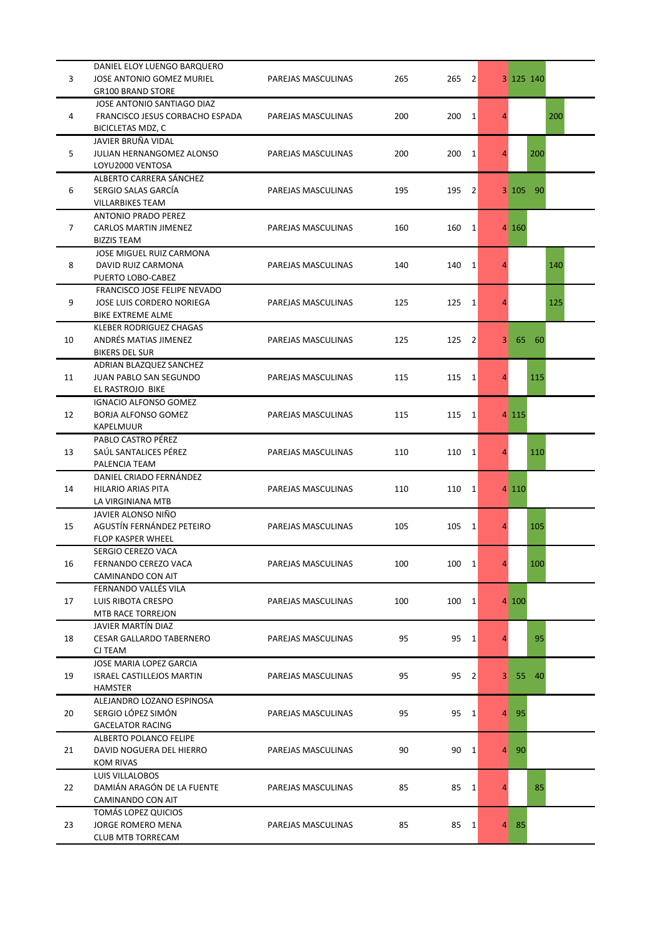|                | DANIEL ELOY LUENGO BARQUERO      |                    |     |                       |                |           |       |     |
|----------------|----------------------------------|--------------------|-----|-----------------------|----------------|-----------|-------|-----|
| 3              | JOSE ANTONIO GOMEZ MURIEL        | PAREJAS MASCULINAS | 265 | 265<br>$\vert$ 2      |                | 3 125 140 |       |     |
|                | <b>GR100 BRAND STORE</b>         |                    |     |                       |                |           |       |     |
|                | JOSE ANTONIO SANTIAGO DIAZ       |                    |     |                       |                |           |       |     |
| 4              | FRANCISCO JESUS CORBACHO ESPADA  | PAREJAS MASCULINAS | 200 | 200<br>$\vert$ 1      | 4              |           |       | 200 |
|                | BICICLETAS MDZ, C                |                    |     |                       |                |           |       |     |
|                | JAVIER BRUÑA VIDAL               |                    |     |                       |                |           |       |     |
|                |                                  |                    |     |                       |                |           |       |     |
| 5              | JULIAN HERNANGOMEZ ALONSO        | PAREJAS MASCULINAS | 200 | 200<br>$\vert$ 1      | 4              |           | 200   |     |
|                | LOYU2000 VENTOSA                 |                    |     |                       |                |           |       |     |
|                | ALBERTO CARRERA SÁNCHEZ          |                    |     |                       |                |           |       |     |
| 6              | SERGIO SALAS GARCÍA              | PAREJAS MASCULINAS | 195 | 195<br>2              |                | 3 105 90  |       |     |
|                | <b>VILLARBIKES TEAM</b>          |                    |     |                       |                |           |       |     |
|                | ANTONIO PRADO PEREZ              |                    |     |                       |                |           |       |     |
| $\overline{7}$ | CARLOS MARTIN JIMENEZ            | PAREJAS MASCULINAS | 160 | $160 \t1$             |                | 4 160     |       |     |
|                | <b>BIZZIS TEAM</b>               |                    |     |                       |                |           |       |     |
|                | JOSE MIGUEL RUIZ CARMONA         |                    |     |                       |                |           |       |     |
| 8              | DAVID RUIZ CARMONA               | PAREJAS MASCULINAS | 140 | 140<br>$\vert$ 1      | 4              |           |       | 140 |
|                | PUERTO LOBO-CABEZ                |                    |     |                       |                |           |       |     |
|                | FRANCISCO JOSE FELIPE NEVADO     |                    |     |                       |                |           |       |     |
| 9              | JOSE LUIS CORDERO NORIEGA        | PAREJAS MASCULINAS | 125 | 125<br>1              | 4              |           |       | 125 |
|                | <b>BIKE EXTREME ALME</b>         |                    |     |                       |                |           |       |     |
|                |                                  |                    |     |                       |                |           |       |     |
|                | KLEBER RODRIGUEZ CHAGAS          |                    |     |                       |                |           |       |     |
| 10             | ANDRÉS MATIAS JIMENEZ            | PAREJAS MASCULINAS | 125 | 125<br>$\overline{2}$ | 3 <sup>1</sup> | 65        | 60    |     |
|                | <b>BIKERS DEL SUR</b>            |                    |     |                       |                |           |       |     |
|                | ADRIAN BLAZQUEZ SANCHEZ          |                    |     |                       |                |           |       |     |
| 11             | JUAN PABLO SAN SEGUNDO           | PAREJAS MASCULINAS | 115 | 115<br>$\vert$ 1      | 4              |           | 115   |     |
|                | EL RASTROJO BIKE                 |                    |     |                       |                |           |       |     |
|                | <b>IGNACIO ALFONSO GOMEZ</b>     |                    |     |                       |                |           |       |     |
| 12             | <b>BORJA ALFONSO GOMEZ</b>       | PAREJAS MASCULINAS | 115 | 115<br>$\vert$ 1      |                | 4 1 1 5   |       |     |
|                | KAPELMUUR                        |                    |     |                       |                |           |       |     |
|                | PABLO CASTRO PÉREZ               |                    |     |                       |                |           |       |     |
| 13             | SAÚL SANTALICES PÉREZ            | PAREJAS MASCULINAS | 110 | 110<br>$\vert$ 1      | $\overline{4}$ |           | 110   |     |
|                | PALENCIA TEAM                    |                    |     |                       |                |           |       |     |
|                | DANIEL CRIADO FERNÁNDEZ          |                    |     |                       |                |           |       |     |
|                | HILARIO ARIAS PITA               | PAREJAS MASCULINAS | 110 | 110<br>1              |                | 4 1 1 0   |       |     |
|                | LA VIRGINIANA MTB                |                    |     |                       |                |           |       |     |
| 14             | JAVIER ALONSO NIÑO               |                    |     |                       |                |           |       |     |
| 15             | AGUSTÍN FERNÁNDEZ PETEIRO        | PAREJAS MASCULINAS | 105 | 105<br>1              | 4              |           | 105   |     |
|                |                                  |                    |     |                       |                |           |       |     |
|                | <b>FLOP KASPER WHEEL</b>         |                    |     |                       |                |           |       |     |
|                | SERGIO CEREZO VACA               |                    |     |                       |                |           |       |     |
| 16             | FERNANDO CEREZO VACA             | PAREJAS MASCULINAS | 100 | $100 \t1$             | $\overline{4}$ |           | 100   |     |
|                | CAMINANDO CON AIT                |                    |     |                       |                |           |       |     |
|                | FERNANDO VALLÉS VILA             |                    |     |                       |                |           |       |     |
| 17             | LUIS RIBOTA CRESPO               | PAREJAS MASCULINAS | 100 | 100<br>$\vert$ 1      |                | 4 100     |       |     |
|                | MTB RACE TORREJON                |                    |     |                       |                |           |       |     |
|                | JAVIER MARTÍN DIAZ               |                    |     |                       |                |           |       |     |
| 18             | <b>CESAR GALLARDO TABERNERO</b>  | PAREJAS MASCULINAS | 95  | 95<br>$\vert$ 1       | 4              |           | 95    |     |
|                | CJ TEAM                          |                    |     |                       |                |           |       |     |
|                | JOSE MARIA LOPEZ GARCIA          |                    |     |                       |                |           |       |     |
| 19             | <b>ISRAEL CASTILLEJOS MARTIN</b> | PAREJAS MASCULINAS | 95  | 95<br>$\overline{2}$  | 3 <sup>1</sup> |           | 55 40 |     |
|                | <b>HAMSTER</b>                   |                    |     |                       |                |           |       |     |
|                | ALEJANDRO LOZANO ESPINOSA        |                    |     |                       |                |           |       |     |
| 20             | SERGIO LÓPEZ SIMÓN               | PAREJAS MASCULINAS | 95  | 95<br>1               |                | 4 95      |       |     |
|                | <b>GACELATOR RACING</b>          |                    |     |                       |                |           |       |     |
|                |                                  |                    |     |                       |                |           |       |     |
|                | <b>ALBERTO POLANCO FELIPE</b>    |                    |     |                       |                |           |       |     |
| 21             | DAVID NOGUERA DEL HIERRO         | PAREJAS MASCULINAS | 90  | 90<br>$\vert$ 1       | $\overline{4}$ | 90        |       |     |
|                | <b>KOM RIVAS</b>                 |                    |     |                       |                |           |       |     |
|                | <b>LUIS VILLALOBOS</b>           |                    |     |                       |                |           |       |     |
| 22             | DAMIÁN ARAGÓN DE LA FUENTE       | PAREJAS MASCULINAS | 85  | 85<br>$\vert$ 1       | 4              |           | 85    |     |
|                | CAMINANDO CON AIT                |                    |     |                       |                |           |       |     |
|                | TOMÁS LOPEZ QUICIOS              |                    |     |                       |                |           |       |     |
| 23             | JORGE ROMERO MENA                | PAREJAS MASCULINAS | 85  | 85<br>$\vert$ 1       |                | 4 85      |       |     |
|                | <b>CLUB MTB TORRECAM</b>         |                    |     |                       |                |           |       |     |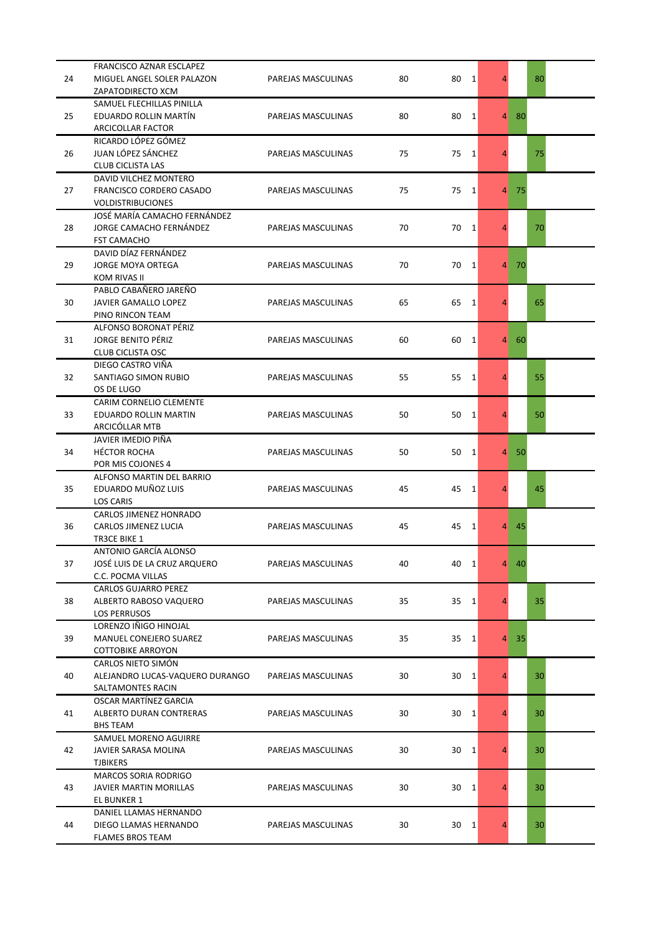|    | FRANCISCO AZNAR ESCLAPEZ                           |                    |    |                      |                |      |    |
|----|----------------------------------------------------|--------------------|----|----------------------|----------------|------|----|
| 24 | MIGUEL ANGEL SOLER PALAZON                         | PAREJAS MASCULINAS | 80 | 80<br>1              | $\overline{4}$ |      | 80 |
|    | ZAPATODIRECTO XCM                                  |                    |    |                      |                |      |    |
|    | SAMUEL FLECHILLAS PINILLA                          |                    |    |                      |                |      |    |
| 25 | EDUARDO ROLLIN MARTÍN                              | PAREJAS MASCULINAS | 80 | 80<br>1              | $\overline{4}$ | 80   |    |
|    | ARCICOLLAR FACTOR                                  |                    |    |                      |                |      |    |
|    | RICARDO LÓPEZ GÓMEZ                                |                    |    |                      |                |      |    |
| 26 | JUAN LÓPEZ SÁNCHEZ                                 | PAREJAS MASCULINAS | 75 | 75<br>1              | $\overline{4}$ |      | 75 |
|    | <b>CLUB CICLISTA LAS</b>                           |                    |    |                      |                |      |    |
|    | DAVID VILCHEZ MONTERO                              |                    |    |                      |                |      |    |
| 27 | FRANCISCO CORDERO CASADO                           | PAREJAS MASCULINAS | 75 | 75 1                 |                | 4 75 |    |
|    | <b>VOLDISTRIBUCIONES</b>                           |                    |    |                      |                |      |    |
|    | JOSÉ MARÍA CAMACHO FERNÁNDEZ                       |                    |    |                      |                |      |    |
| 28 | JORGE CAMACHO FERNÁNDEZ                            | PAREJAS MASCULINAS | 70 | 70<br>$\mathbf{1}$   | 4              |      | 70 |
|    | <b>FST CAMACHO</b>                                 |                    |    |                      |                |      |    |
|    | DAVID DÍAZ FERNÁNDEZ                               |                    |    |                      |                |      |    |
| 29 | <b>JORGE MOYA ORTEGA</b>                           | PAREJAS MASCULINAS | 70 | 70<br>$\mathbf{1}$   |                | 4 70 |    |
|    | <b>KOM RIVAS II</b>                                |                    |    |                      |                |      |    |
|    | PABLO CABAÑERO JAREÑO                              |                    |    |                      |                |      |    |
| 30 | <b>JAVIER GAMALLO LOPEZ</b>                        | PAREJAS MASCULINAS | 65 | 65<br>1              | 4              |      | 65 |
|    | PINO RINCON TEAM                                   |                    |    |                      |                |      |    |
|    |                                                    |                    |    |                      |                |      |    |
|    | ALFONSO BORONAT PÉRIZ<br><b>JORGE BENITO PÉRIZ</b> |                    | 60 | 60<br>1              |                | 4 60 |    |
| 31 |                                                    | PAREJAS MASCULINAS |    |                      |                |      |    |
|    | <b>CLUB CICLISTA OSC</b>                           |                    |    |                      |                |      |    |
|    | DIEGO CASTRO VIÑA                                  |                    |    |                      |                |      |    |
| 32 | SANTIAGO SIMON RUBIO                               | PAREJAS MASCULINAS | 55 | 55 1                 | 4              |      | 55 |
|    | OS DE LUGO                                         |                    |    |                      |                |      |    |
|    | CARIM CORNELIO CLEMENTE                            |                    |    |                      |                |      |    |
| 33 | EDUARDO ROLLIN MARTIN                              | PAREJAS MASCULINAS | 50 | 50<br><sup>1</sup>   | 4              |      | 50 |
|    | ARCICÓLLAR MTB                                     |                    |    |                      |                |      |    |
|    | JAVIER IMEDIO PIÑA                                 |                    |    |                      |                |      |    |
| 34 | <b>HÉCTOR ROCHA</b>                                | PAREJAS MASCULINAS | 50 | 50<br>$\mathbf{1}$   |                | 4 50 |    |
|    | POR MIS COJONES 4                                  |                    |    |                      |                |      |    |
|    | ALFONSO MARTIN DEL BARRIO                          |                    |    |                      |                |      |    |
| 35 | EDUARDO MUÑOZ LUIS                                 | PAREJAS MASCULINAS | 45 | 45<br>-1             | 4              |      | 45 |
|    | LOS CARIS                                          |                    |    |                      |                |      |    |
|    | <b>CARLOS JIMENEZ HONRADO</b>                      |                    |    |                      |                |      |    |
| 36 | CARLOS JIMENEZ LUCIA                               | PAREJAS MASCULINAS | 45 | 45<br>1              |                | 4 45 |    |
|    | TR3CE BIKE 1                                       |                    |    |                      |                |      |    |
|    | ANTONIO GARCÍA ALONSO                              |                    |    |                      |                |      |    |
| 37 | JOSÉ LUIS DE LA CRUZ ARQUERO                       | PAREJAS MASCULINAS | 40 | $\overline{1}$<br>40 | $\overline{4}$ | -40  |    |
|    | C.C. POCMA VILLAS                                  |                    |    |                      |                |      |    |
|    | <b>CARLOS GUJARRO PEREZ</b>                        |                    |    |                      |                |      |    |
| 38 | ALBERTO RABOSO VAQUERO                             | PAREJAS MASCULINAS | 35 | 35<br>$\mathbf{1}$   | $\overline{4}$ |      | 35 |
|    | <b>LOS PERRUSOS</b>                                |                    |    |                      |                |      |    |
|    | LORENZO IÑIGO HINOJAL                              |                    |    |                      |                |      |    |
| 39 | MANUEL CONEJERO SUAREZ                             | PAREJAS MASCULINAS | 35 | 35<br>$\mathbf{1}$   |                | 4 35 |    |
|    | <b>COTTOBIKE ARROYON</b>                           |                    |    |                      |                |      |    |
|    | CARLOS NIETO SIMÓN                                 |                    |    |                      |                |      |    |
| 40 | ALEJANDRO LUCAS-VAQUERO DURANGO                    | PAREJAS MASCULINAS | 30 | 30<br><sup>1</sup>   | 4              |      | 30 |
|    | SALTAMONTES RACIN                                  |                    |    |                      |                |      |    |
|    | OSCAR MARTÍNEZ GARCIA                              |                    |    |                      |                |      |    |
| 41 | ALBERTO DURAN CONTRERAS                            | PAREJAS MASCULINAS | 30 | 30<br>1              | 4              |      | 30 |
|    | BHS TEAM                                           |                    |    |                      |                |      |    |
|    | SAMUEL MORENO AGUIRRE                              |                    |    |                      |                |      |    |
| 42 | JAVIER SARASA MOLINA                               | PAREJAS MASCULINAS | 30 | 30<br>1              | $\overline{4}$ |      | 30 |
|    | <b>TJBIKERS</b>                                    |                    |    |                      |                |      |    |
|    | <b>MARCOS SORIA RODRIGO</b>                        |                    |    |                      |                |      |    |
| 43 | <b>JAVIER MARTIN MORILLAS</b>                      | PAREJAS MASCULINAS | 30 | 30<br>1              | 4              |      | 30 |
|    | EL BUNKER 1                                        |                    |    |                      |                |      |    |
|    | DANIEL LLAMAS HERNANDO                             |                    |    |                      |                |      |    |
| 44 | DIEGO LLAMAS HERNANDO                              | PAREJAS MASCULINAS | 30 | 30<br>$\mathbf{1}$   | 4              |      | 30 |
|    | FLAMES BROS TEAM                                   |                    |    |                      |                |      |    |
|    |                                                    |                    |    |                      |                |      |    |